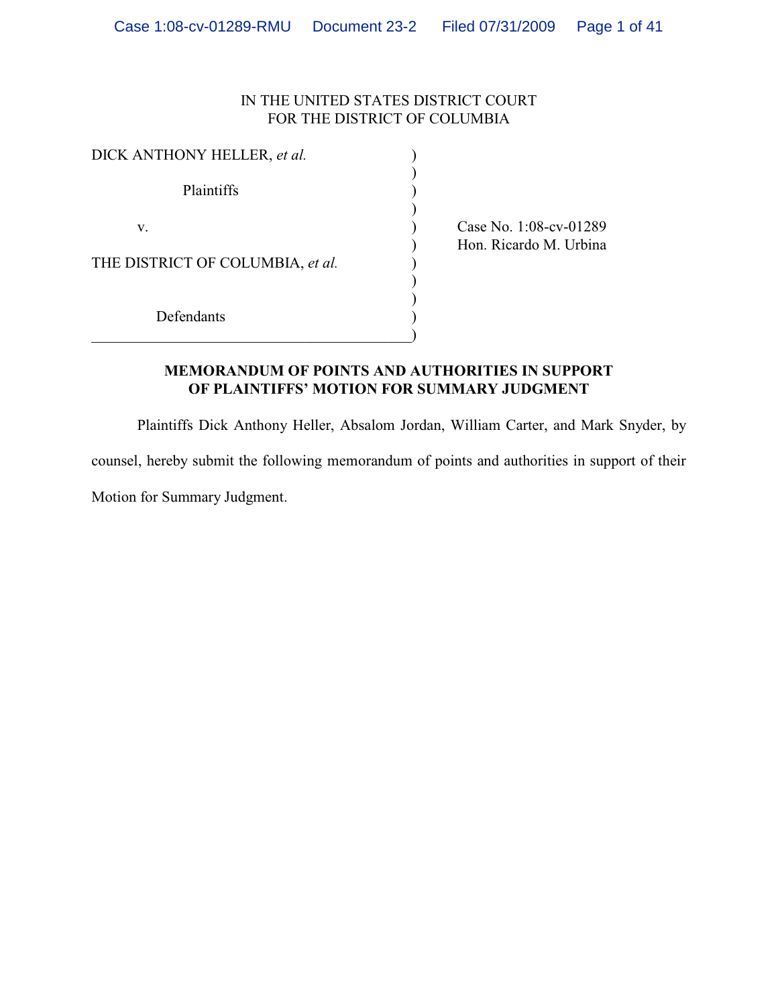# IN THE UNITED STATES DISTRICT COURT FOR THE DISTRICT OF COLUMBIA

| DICK ANTHONY HELLER, et al.      |  |
|----------------------------------|--|
| Plaintiffs                       |  |
| V.                               |  |
| THE DISTRICT OF COLUMBIA, et al. |  |
| Defendants                       |  |

(ase No. 1:08-cv-01289) ) Hon. Ricardo M. Urbina

# **MEMORANDUM OF POINTS AND AUTHORITIES IN SUPPORT OF PLAINTIFFS' MOTION FOR SUMMARY JUDGMENT**

Plaintiffs Dick Anthony Heller, Absalom Jordan, William Carter, and Mark Snyder, by counsel, hereby submit the following memorandum of points and authorities in support of their Motion for Summary Judgment.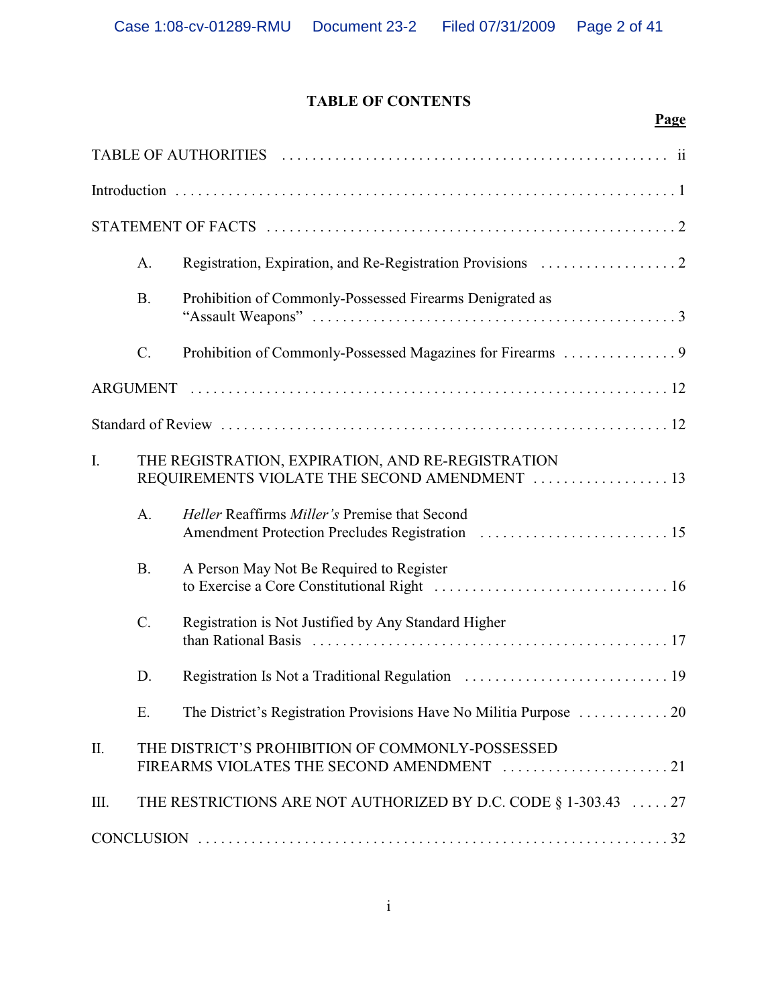# **TABLE OF CONTENTS**

|                 |           | Page                                                                                               |
|-----------------|-----------|----------------------------------------------------------------------------------------------------|
|                 |           |                                                                                                    |
|                 |           |                                                                                                    |
|                 |           |                                                                                                    |
|                 | A.        |                                                                                                    |
|                 | <b>B.</b> | Prohibition of Commonly-Possessed Firearms Denigrated as                                           |
|                 | $C$ .     |                                                                                                    |
|                 |           |                                                                                                    |
|                 |           |                                                                                                    |
| I.              |           | THE REGISTRATION, EXPIRATION, AND RE-REGISTRATION<br>REQUIREMENTS VIOLATE THE SECOND AMENDMENT  13 |
|                 | A.        | Heller Reaffirms Miller's Premise that Second                                                      |
|                 | <b>B.</b> | A Person May Not Be Required to Register                                                           |
|                 | $C$ .     | Registration is Not Justified by Any Standard Higher                                               |
|                 | D.        |                                                                                                    |
|                 | Ε.        |                                                                                                    |
| $\mathbf{II}$ . |           | THE DISTRICT'S PROHIBITION OF COMMONLY-POSSESSED<br>FIREARMS VIOLATES THE SECOND AMENDMENT 21      |
| Ш.              |           | THE RESTRICTIONS ARE NOT AUTHORIZED BY D.C. CODE § 1-303.43  27                                    |
|                 |           |                                                                                                    |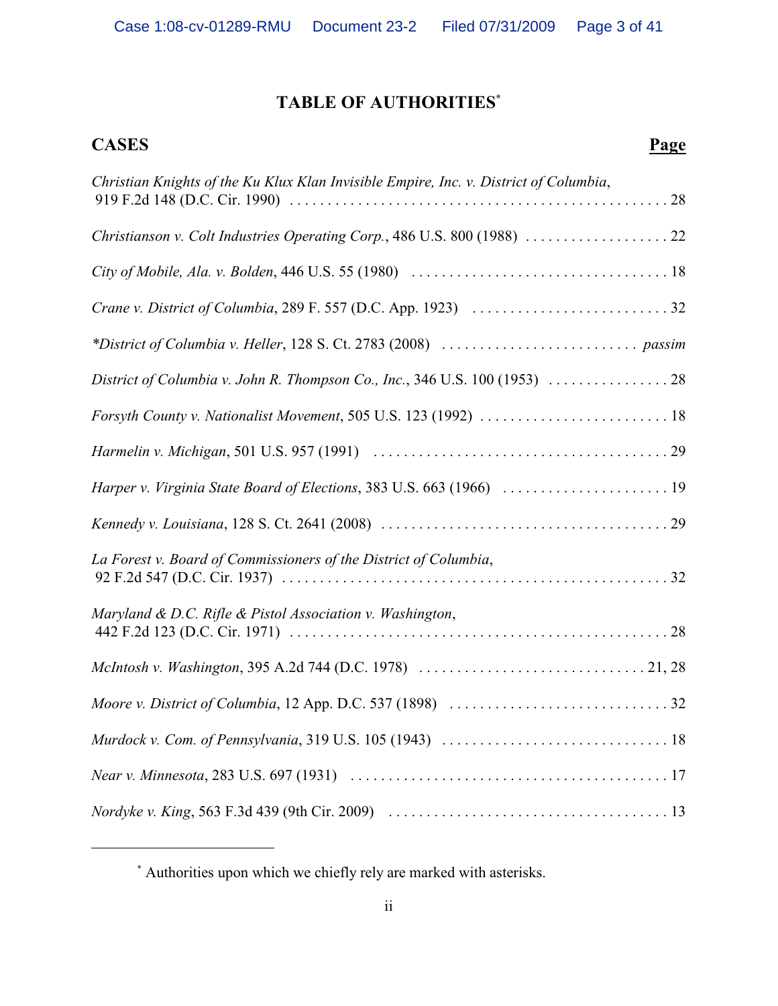# **TABLE OF AUTHORITIES\***

# **CASES Page**

| Christian Knights of the Ku Klux Klan Invisible Empire, Inc. v. District of Columbia, |
|---------------------------------------------------------------------------------------|
|                                                                                       |
|                                                                                       |
|                                                                                       |
|                                                                                       |
| District of Columbia v. John R. Thompson Co., Inc., 346 U.S. 100 (1953)  28           |
|                                                                                       |
|                                                                                       |
| Harper v. Virginia State Board of Elections, 383 U.S. 663 (1966)  19                  |
|                                                                                       |
| La Forest v. Board of Commissioners of the District of Columbia,                      |
| Maryland & D.C. Rifle & Pistol Association v. Washington,                             |
|                                                                                       |
|                                                                                       |
|                                                                                       |
|                                                                                       |
|                                                                                       |

Authorities upon which we chiefly rely are marked with asterisks. \*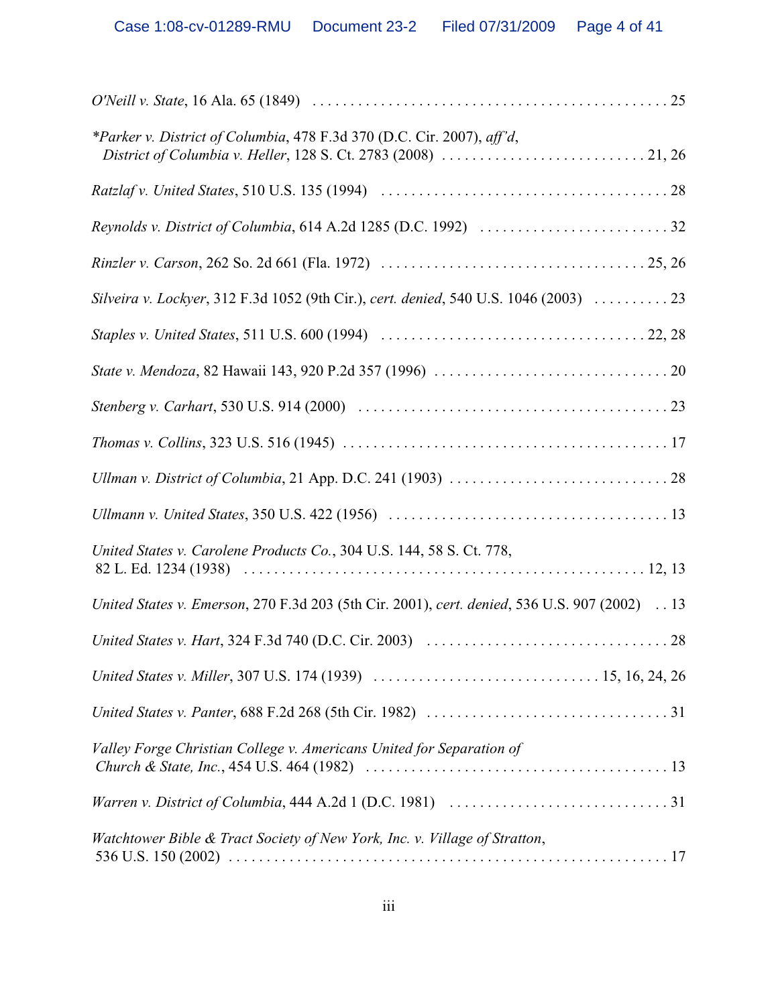| *Parker v. District of Columbia, 478 F.3d 370 (D.C. Cir. 2007), aff'd,                         |
|------------------------------------------------------------------------------------------------|
|                                                                                                |
|                                                                                                |
|                                                                                                |
|                                                                                                |
|                                                                                                |
|                                                                                                |
|                                                                                                |
|                                                                                                |
|                                                                                                |
|                                                                                                |
| United States v. Carolene Products Co., 304 U.S. 144, 58 S. Ct. 778,                           |
| United States v. Emerson, 270 F.3d 203 (5th Cir. 2001), cert. denied, 536 U.S. 907 (2002) . 13 |
|                                                                                                |
|                                                                                                |
|                                                                                                |
| Valley Forge Christian College v. Americans United for Separation of                           |
|                                                                                                |
| Watchtower Bible & Tract Society of New York, Inc. v. Village of Stratton,                     |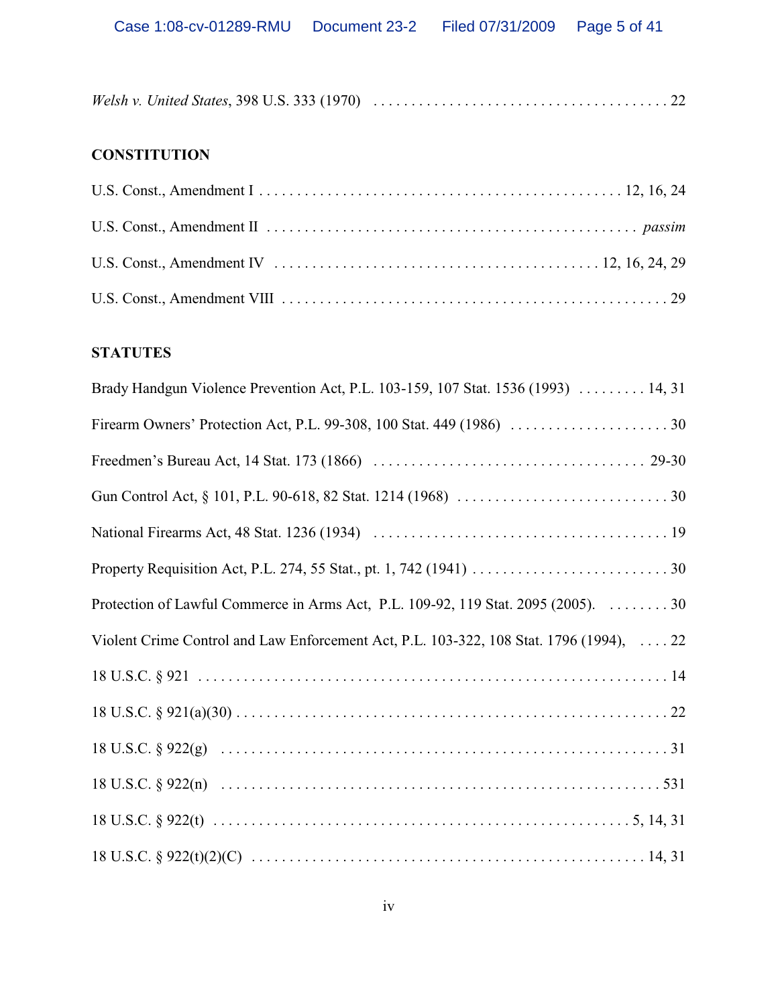# **CONSTITUTION**

# **STATUTES**

| Brady Handgun Violence Prevention Act, P.L. 103-159, 107 Stat. 1536 (1993)  14, 31      |
|-----------------------------------------------------------------------------------------|
|                                                                                         |
|                                                                                         |
|                                                                                         |
|                                                                                         |
|                                                                                         |
| Protection of Lawful Commerce in Arms Act, P.L. 109-92, 119 Stat. 2095 (2005). 30       |
| Violent Crime Control and Law Enforcement Act, P.L. 103-322, 108 Stat. 1796 (1994),  22 |
|                                                                                         |
|                                                                                         |
|                                                                                         |
|                                                                                         |
|                                                                                         |
|                                                                                         |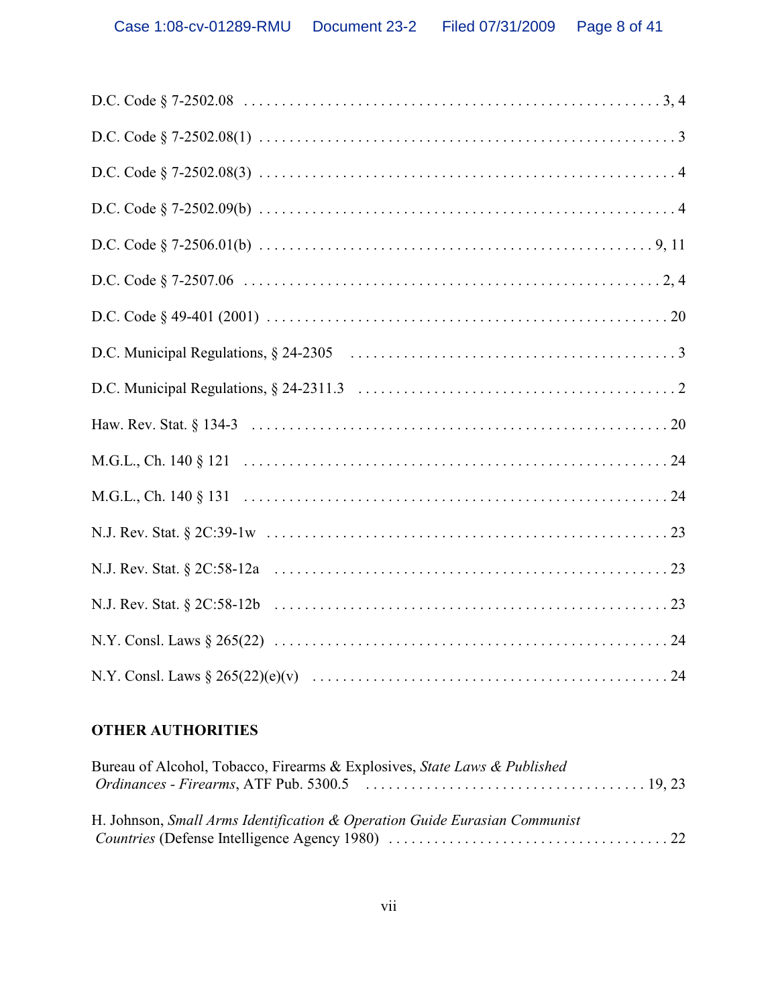# **OTHER AUTHORITIES**

| Bureau of Alcohol, Tobacco, Firearms & Explosives, State Laws & Published  |  |
|----------------------------------------------------------------------------|--|
|                                                                            |  |
|                                                                            |  |
| H. Johnson, Small Arms Identification & Operation Guide Eurasian Communist |  |
|                                                                            |  |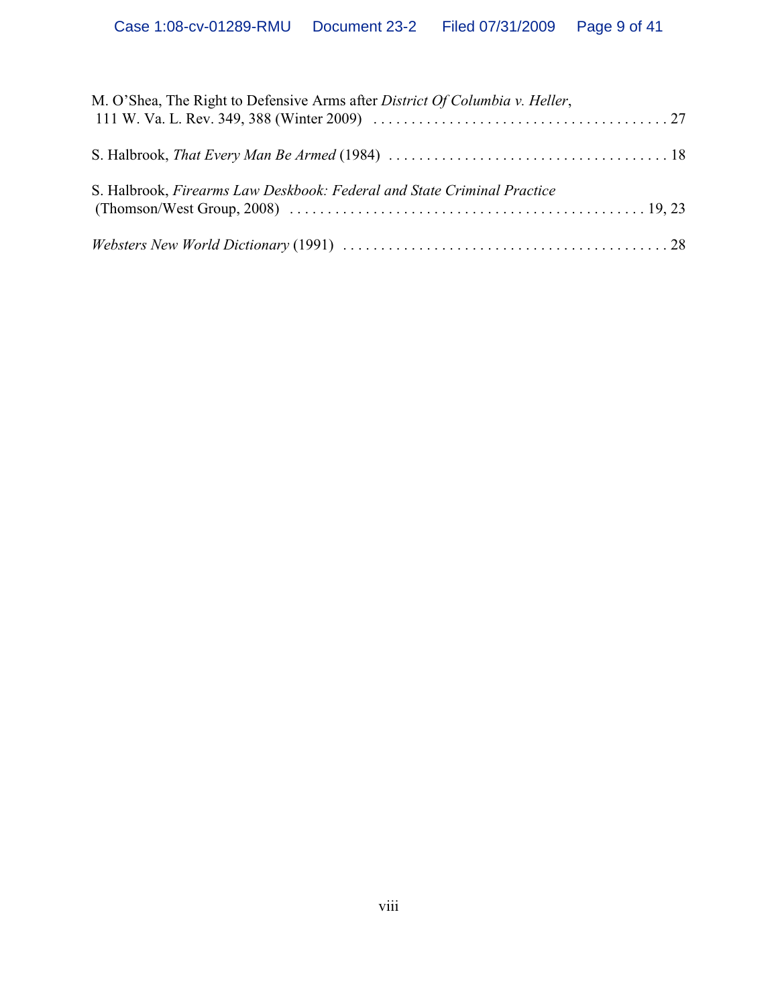| M. O'Shea, The Right to Defensive Arms after <i>District Of Columbia v. Heller</i> , |  |
|--------------------------------------------------------------------------------------|--|
|                                                                                      |  |
| S. Halbrook, Firearms Law Deskbook: Federal and State Criminal Practice              |  |
|                                                                                      |  |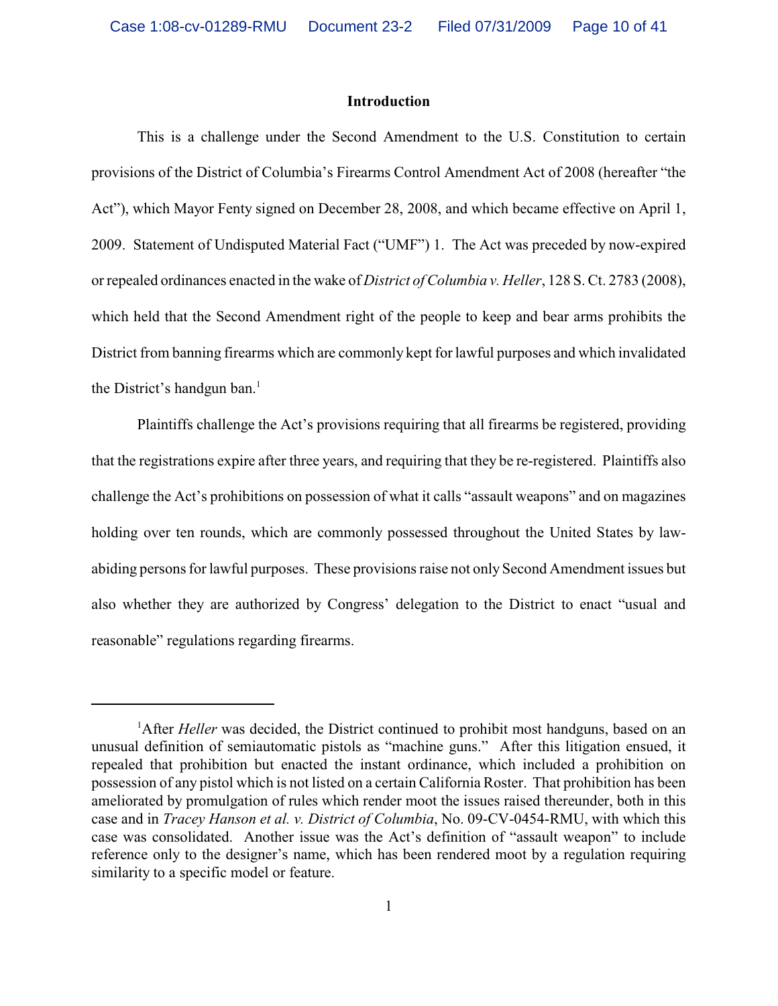### **Introduction**

This is a challenge under the Second Amendment to the U.S. Constitution to certain provisions of the District of Columbia's Firearms Control Amendment Act of 2008 (hereafter "the Act"), which Mayor Fenty signed on December 28, 2008, and which became effective on April 1, 2009. Statement of Undisputed Material Fact ("UMF") 1. The Act was preceded by now-expired or repealed ordinances enacted in the wake of *District of Columbia v. Heller*, 128 S. Ct. 2783 (2008), which held that the Second Amendment right of the people to keep and bear arms prohibits the District from banning firearms which are commonly kept for lawful purposes and which invalidated the District's handgun ban.<sup>1</sup>

Plaintiffs challenge the Act's provisions requiring that all firearms be registered, providing that the registrations expire after three years, and requiring that they be re-registered. Plaintiffs also challenge the Act's prohibitions on possession of what it calls "assault weapons" and on magazines holding over ten rounds, which are commonly possessed throughout the United States by lawabiding persons for lawful purposes. These provisions raise not only Second Amendment issues but also whether they are authorized by Congress' delegation to the District to enact "usual and reasonable" regulations regarding firearms.

<sup>&</sup>lt;sup>1</sup>After *Heller* was decided, the District continued to prohibit most handguns, based on an unusual definition of semiautomatic pistols as "machine guns." After this litigation ensued, it repealed that prohibition but enacted the instant ordinance, which included a prohibition on possession of any pistol which is not listed on a certain California Roster. That prohibition has been ameliorated by promulgation of rules which render moot the issues raised thereunder, both in this case and in *Tracey Hanson et al. v. District of Columbia*, No. 09-CV-0454-RMU, with which this case was consolidated. Another issue was the Act's definition of "assault weapon" to include reference only to the designer's name, which has been rendered moot by a regulation requiring similarity to a specific model or feature.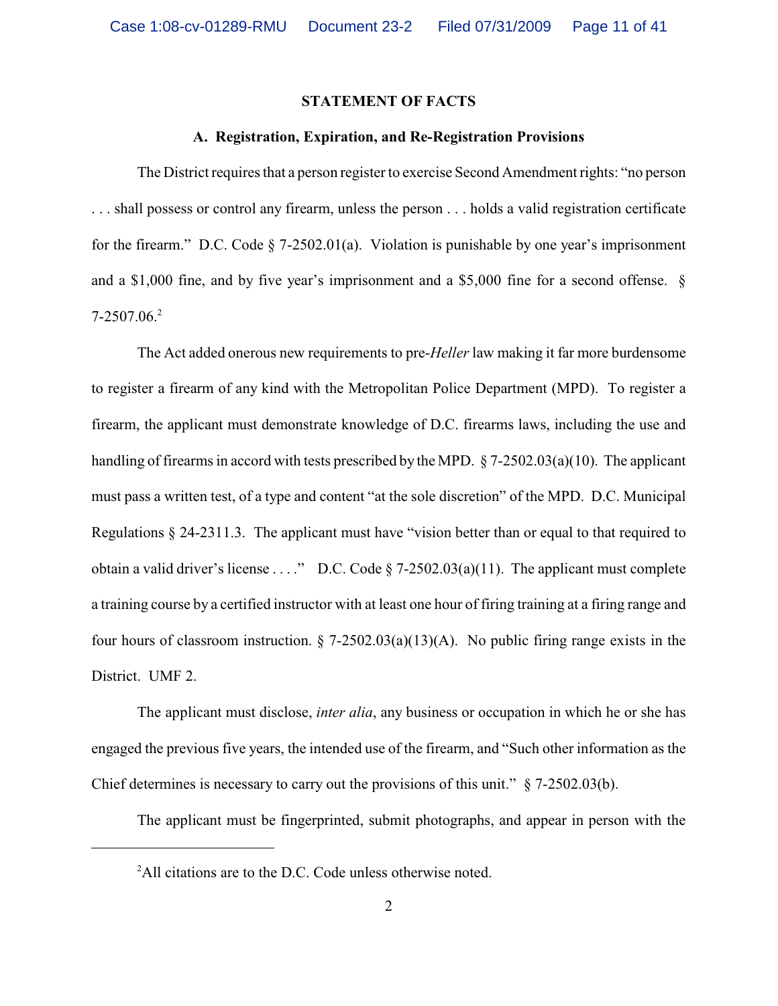#### **STATEMENT OF FACTS**

#### **A. Registration, Expiration, and Re-Registration Provisions**

The District requires that a person register to exercise Second Amendment rights: "no person . . . shall possess or control any firearm, unless the person . . . holds a valid registration certificate for the firearm." D.C. Code § 7-2502.01(a). Violation is punishable by one year's imprisonment and a \$1,000 fine, and by five year's imprisonment and a \$5,000 fine for a second offense. § 7-2507.06.<sup>2</sup>

The Act added onerous new requirements to pre-*Heller* law making it far more burdensome to register a firearm of any kind with the Metropolitan Police Department (MPD). To register a firearm, the applicant must demonstrate knowledge of D.C. firearms laws, including the use and handling of firearms in accord with tests prescribed by the MPD. § 7-2502.03(a)(10). The applicant must pass a written test, of a type and content "at the sole discretion" of the MPD. D.C. Municipal Regulations § 24-2311.3. The applicant must have "vision better than or equal to that required to obtain a valid driver's license . . . ." D.C. Code  $\S$  7-2502.03(a)(11). The applicant must complete a training course by a certified instructor with at least one hour of firing training at a firing range and four hours of classroom instruction.  $\S$  7-2502.03(a)(13)(A). No public firing range exists in the District. UMF 2.

The applicant must disclose, *inter alia*, any business or occupation in which he or she has engaged the previous five years, the intended use of the firearm, and "Such other information as the Chief determines is necessary to carry out the provisions of this unit." § 7-2502.03(b).

The applicant must be fingerprinted, submit photographs, and appear in person with the

<sup>&</sup>lt;sup>2</sup>All citations are to the D.C. Code unless otherwise noted.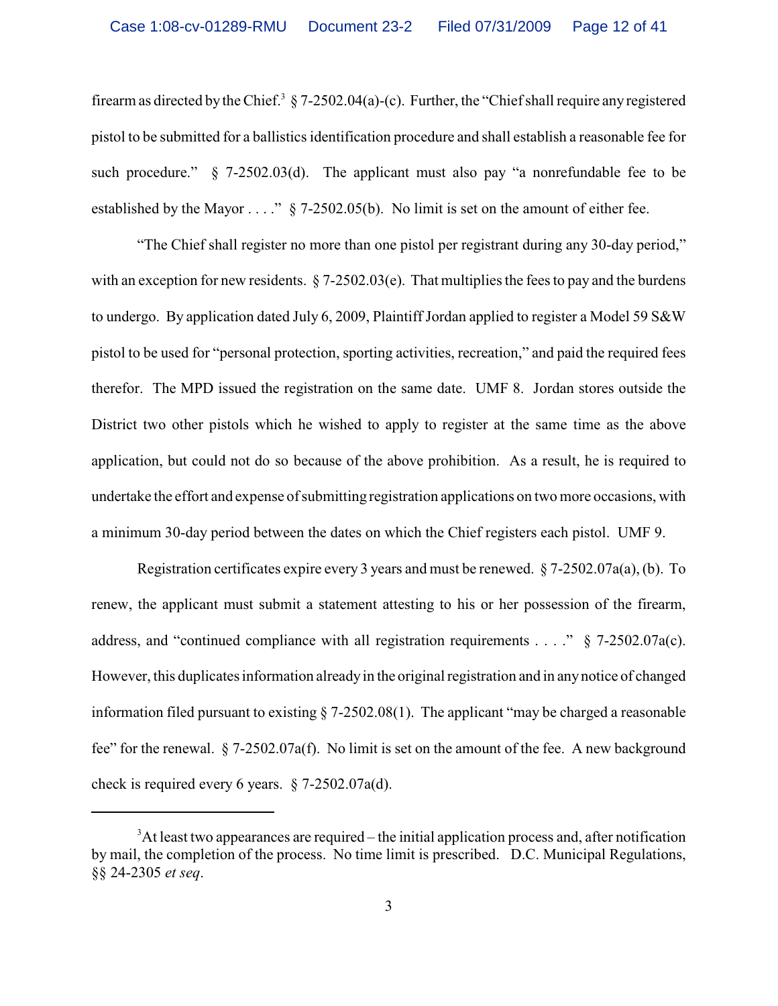firearm as directed by the Chief.<sup>3</sup> § 7-2502.04(a)-(c). Further, the "Chief shall require any registered pistol to be submitted for a ballistics identification procedure and shall establish a reasonable fee for such procedure."  $\S$  7-2502.03(d). The applicant must also pay "a nonrefundable fee to be established by the Mayor . . . ." § 7-2502.05(b). No limit is set on the amount of either fee.

"The Chief shall register no more than one pistol per registrant during any 30-day period," with an exception for new residents.  $\S$  7-2502.03(e). That multiplies the fees to pay and the burdens to undergo. By application dated July 6, 2009, Plaintiff Jordan applied to register a Model 59 S&W pistol to be used for "personal protection, sporting activities, recreation," and paid the required fees therefor. The MPD issued the registration on the same date. UMF 8. Jordan stores outside the District two other pistols which he wished to apply to register at the same time as the above application, but could not do so because of the above prohibition. As a result, he is required to undertake the effort and expense of submitting registration applications on two more occasions, with a minimum 30-day period between the dates on which the Chief registers each pistol. UMF 9.

Registration certificates expire every 3 years and must be renewed. § 7-2502.07a(a), (b). To renew, the applicant must submit a statement attesting to his or her possession of the firearm, address, and "continued compliance with all registration requirements . . . ." § 7-2502.07a(c). However, this duplicates information alreadyin the original registration and in anynotice of changed information filed pursuant to existing § 7-2502.08(1). The applicant "may be charged a reasonable fee" for the renewal. § 7-2502.07a(f). No limit is set on the amount of the fee. A new background check is required every 6 years. § 7-2502.07a(d).

 $3$ At least two appearances are required – the initial application process and, after notification by mail, the completion of the process. No time limit is prescribed. D.C. Municipal Regulations, §§ 24-2305 *et seq*.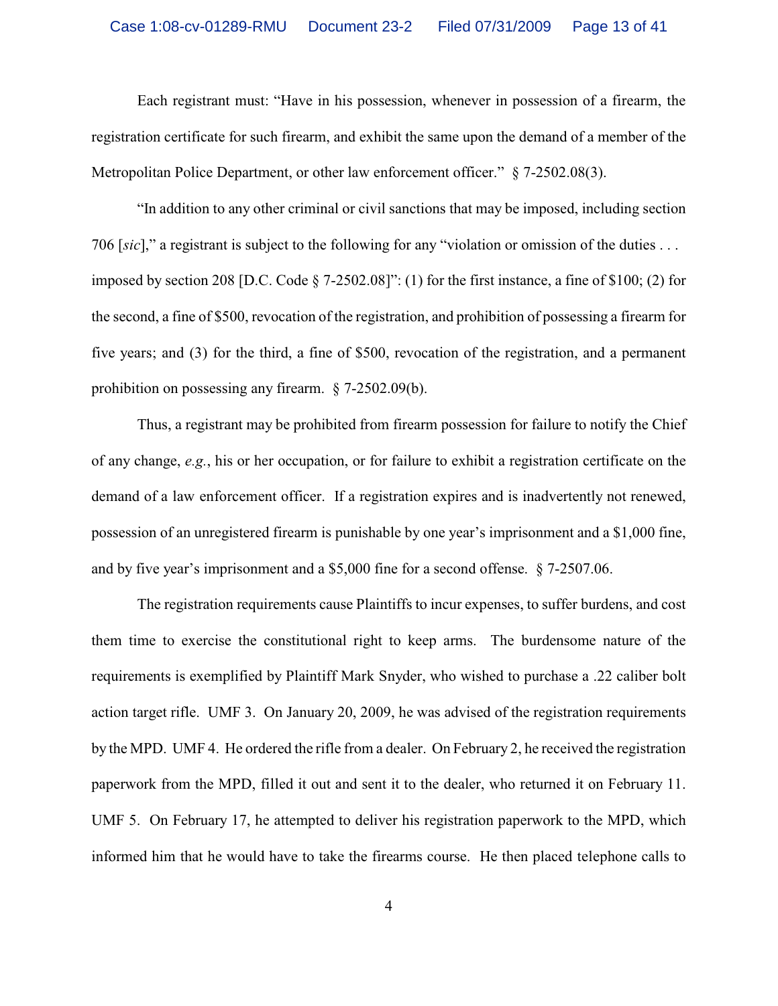Each registrant must: "Have in his possession, whenever in possession of a firearm, the registration certificate for such firearm, and exhibit the same upon the demand of a member of the Metropolitan Police Department, or other law enforcement officer." § 7-2502.08(3).

"In addition to any other criminal or civil sanctions that may be imposed, including section 706 [*sic*]," a registrant is subject to the following for any "violation or omission of the duties . . . imposed by section 208 [D.C. Code § 7-2502.08]": (1) for the first instance, a fine of \$100; (2) for the second, a fine of \$500, revocation of the registration, and prohibition of possessing a firearm for five years; and (3) for the third, a fine of \$500, revocation of the registration, and a permanent prohibition on possessing any firearm. § 7-2502.09(b).

Thus, a registrant may be prohibited from firearm possession for failure to notify the Chief of any change, *e.g.*, his or her occupation, or for failure to exhibit a registration certificate on the demand of a law enforcement officer. If a registration expires and is inadvertently not renewed, possession of an unregistered firearm is punishable by one year's imprisonment and a \$1,000 fine, and by five year's imprisonment and a \$5,000 fine for a second offense. § 7-2507.06.

The registration requirements cause Plaintiffs to incur expenses, to suffer burdens, and cost them time to exercise the constitutional right to keep arms. The burdensome nature of the requirements is exemplified by Plaintiff Mark Snyder, who wished to purchase a .22 caliber bolt action target rifle. UMF 3. On January 20, 2009, he was advised of the registration requirements by the MPD. UMF 4. He ordered the rifle from a dealer. On February 2, he received the registration paperwork from the MPD, filled it out and sent it to the dealer, who returned it on February 11. UMF 5. On February 17, he attempted to deliver his registration paperwork to the MPD, which informed him that he would have to take the firearms course. He then placed telephone calls to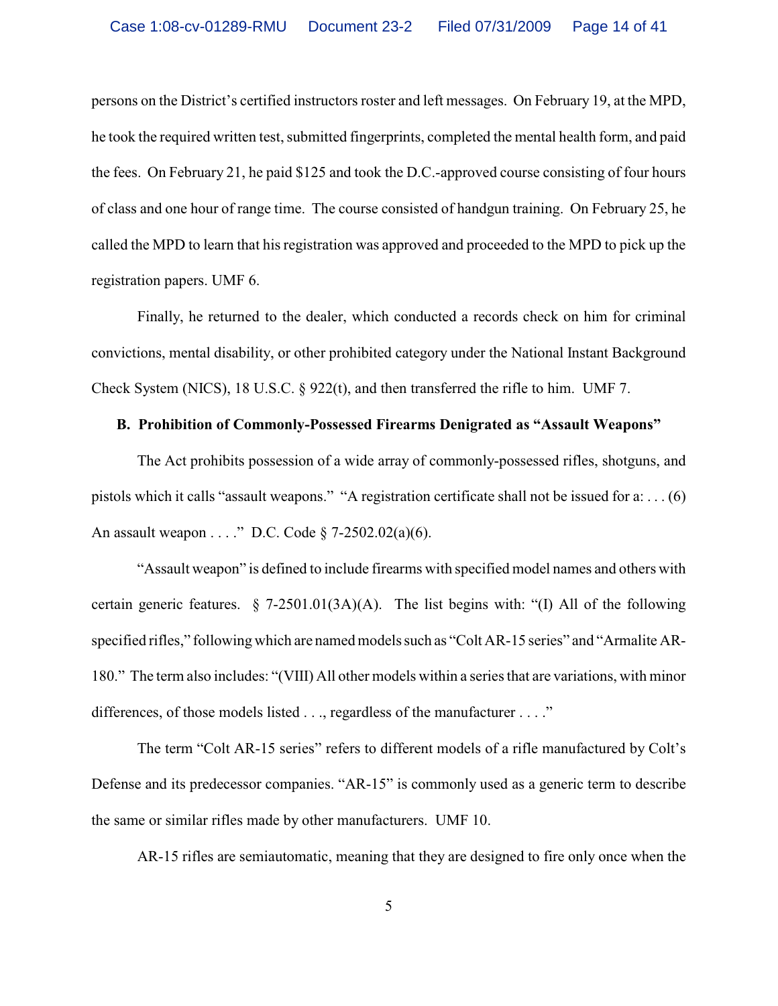persons on the District's certified instructors roster and left messages. On February 19, at the MPD, he took the required written test, submitted fingerprints, completed the mental health form, and paid the fees. On February 21, he paid \$125 and took the D.C.-approved course consisting of four hours of class and one hour of range time. The course consisted of handgun training. On February 25, he called the MPD to learn that his registration was approved and proceeded to the MPD to pick up the registration papers. UMF 6.

Finally, he returned to the dealer, which conducted a records check on him for criminal convictions, mental disability, or other prohibited category under the National Instant Background Check System (NICS), 18 U.S.C. § 922(t), and then transferred the rifle to him. UMF 7.

## **B. Prohibition of Commonly-Possessed Firearms Denigrated as "Assault Weapons"**

The Act prohibits possession of a wide array of commonly-possessed rifles, shotguns, and pistols which it calls "assault weapons." "A registration certificate shall not be issued for a: . . . (6) An assault weapon . . . ." D.C. Code § 7-2502.02(a)(6).

"Assault weapon" is defined to include firearms with specified model names and others with certain generic features.  $\S$  7-2501.01(3A)(A). The list begins with: "(I) All of the following specified rifles," following which are named models such as "Colt AR-15 series" and "Armalite AR-180." The term also includes: "(VIII) All other models within a series that are variations, with minor differences, of those models listed . . ., regardless of the manufacturer . . . ."

The term "Colt AR-15 series" refers to different models of a rifle manufactured by Colt's Defense and its predecessor companies. "AR-15" is commonly used as a generic term to describe the same or similar rifles made by other manufacturers. UMF 10.

AR-15 rifles are semiautomatic, meaning that they are designed to fire only once when the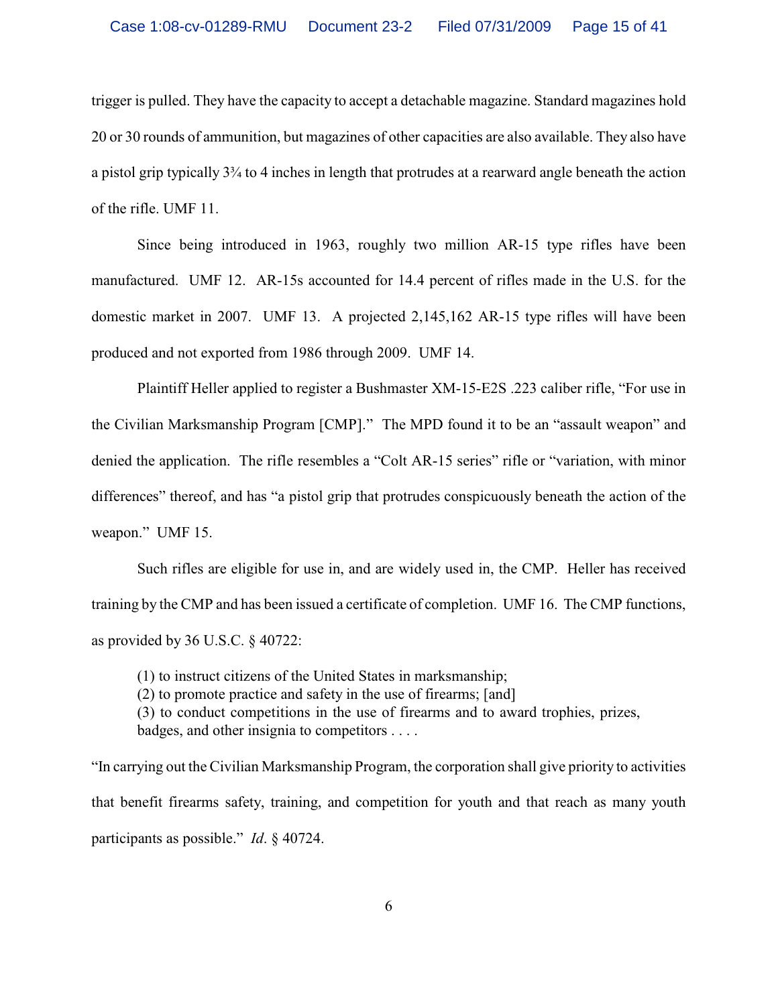trigger is pulled. They have the capacity to accept a detachable magazine. Standard magazines hold 20 or 30 rounds of ammunition, but magazines of other capacities are also available. They also have a pistol grip typically 3¾ to 4 inches in length that protrudes at a rearward angle beneath the action of the rifle. UMF 11.

Since being introduced in 1963, roughly two million AR-15 type rifles have been manufactured. UMF 12. AR-15s accounted for 14.4 percent of rifles made in the U.S. for the domestic market in 2007. UMF 13. A projected 2,145,162 AR-15 type rifles will have been produced and not exported from 1986 through 2009. UMF 14.

Plaintiff Heller applied to register a Bushmaster XM-15-E2S .223 caliber rifle, "For use in the Civilian Marksmanship Program [CMP]." The MPD found it to be an "assault weapon" and denied the application. The rifle resembles a "Colt AR-15 series" rifle or "variation, with minor differences" thereof, and has "a pistol grip that protrudes conspicuously beneath the action of the weapon." UMF 15.

Such rifles are eligible for use in, and are widely used in, the CMP. Heller has received training by the CMP and has been issued a certificate of completion. UMF 16. The CMP functions, as provided by 36 U.S.C. § 40722:

(1) to instruct citizens of the United States in marksmanship; (2) to promote practice and safety in the use of firearms; [and] (3) to conduct competitions in the use of firearms and to award trophies, prizes, badges, and other insignia to competitors . . . .

"In carrying out the Civilian Marksmanship Program, the corporation shall give priority to activities that benefit firearms safety, training, and competition for youth and that reach as many youth participants as possible." *Id*. § 40724.

6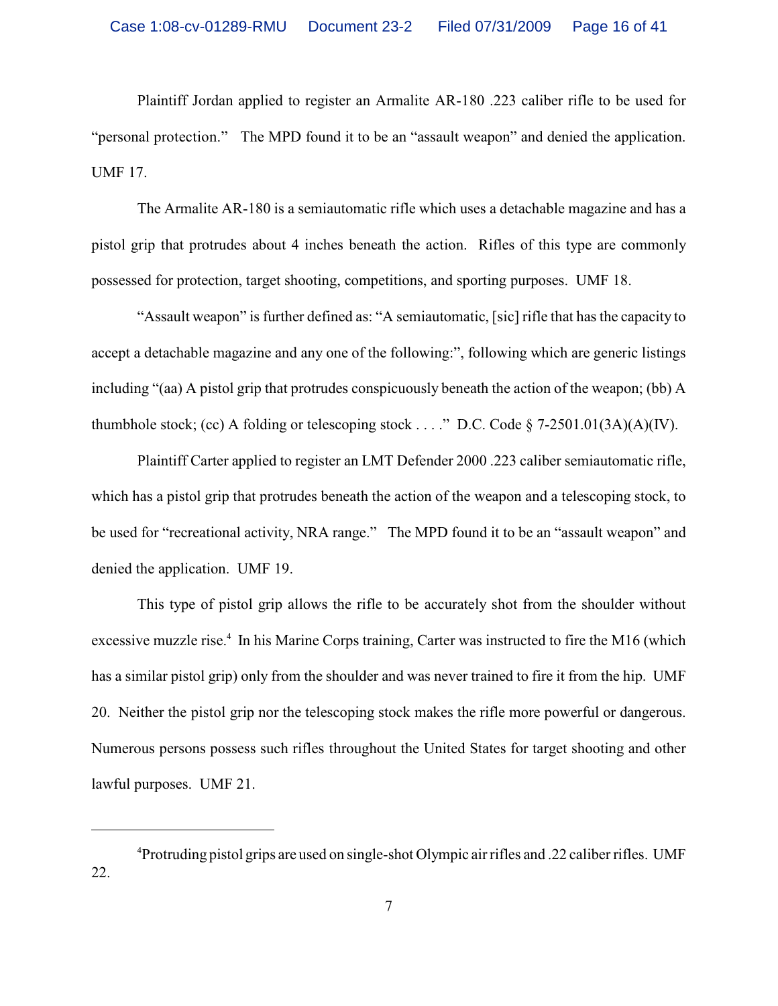Plaintiff Jordan applied to register an Armalite AR-180 .223 caliber rifle to be used for "personal protection." The MPD found it to be an "assault weapon" and denied the application. UMF 17.

The Armalite AR-180 is a semiautomatic rifle which uses a detachable magazine and has a pistol grip that protrudes about 4 inches beneath the action. Rifles of this type are commonly possessed for protection, target shooting, competitions, and sporting purposes. UMF 18.

"Assault weapon" is further defined as: "A semiautomatic, [sic] rifle that has the capacity to accept a detachable magazine and any one of the following:", following which are generic listings including "(aa) A pistol grip that protrudes conspicuously beneath the action of the weapon; (bb) A thumbhole stock; (cc) A folding or telescoping stock . . . ." D.C. Code  $\S$  7-2501.01(3A)(A)(IV).

Plaintiff Carter applied to register an LMT Defender 2000 .223 caliber semiautomatic rifle, which has a pistol grip that protrudes beneath the action of the weapon and a telescoping stock, to be used for "recreational activity, NRA range." The MPD found it to be an "assault weapon" and denied the application. UMF 19.

This type of pistol grip allows the rifle to be accurately shot from the shoulder without excessive muzzle rise.<sup>4</sup> In his Marine Corps training, Carter was instructed to fire the M16 (which has a similar pistol grip) only from the shoulder and was never trained to fire it from the hip. UMF 20. Neither the pistol grip nor the telescoping stock makes the rifle more powerful or dangerous. Numerous persons possess such rifles throughout the United States for target shooting and other lawful purposes. UMF 21.

<sup>&</sup>lt;sup>4</sup>Protruding pistol grips are used on single-shot Olympic air rifles and .22 caliber rifles. UMF 22.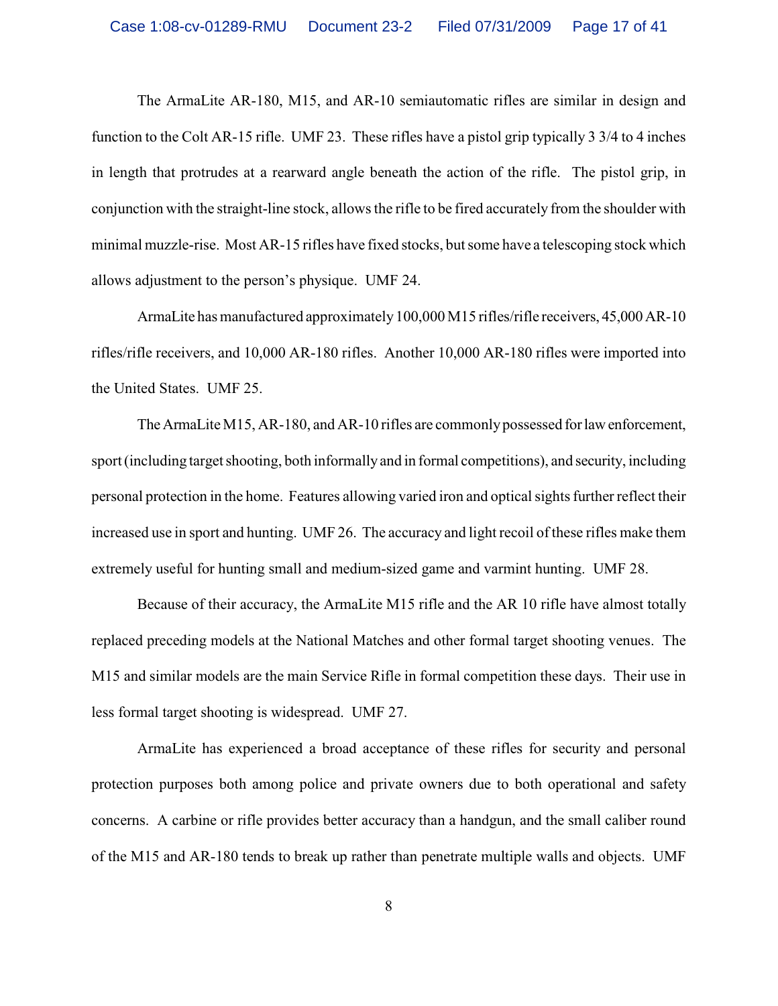The ArmaLite AR-180, M15, and AR-10 semiautomatic rifles are similar in design and function to the Colt AR-15 rifle. UMF 23. These rifles have a pistol grip typically 3 3/4 to 4 inches in length that protrudes at a rearward angle beneath the action of the rifle. The pistol grip, in conjunction with the straight-line stock, allows the rifle to be fired accurately from the shoulder with minimal muzzle-rise. Most AR-15 rifles have fixed stocks, but some have a telescoping stock which allows adjustment to the person's physique. UMF 24.

ArmaLite has manufactured approximately 100,000 M15 rifles/rifle receivers, 45,000 AR-10 rifles/rifle receivers, and 10,000 AR-180 rifles. Another 10,000 AR-180 rifles were imported into the United States. UMF 25.

The ArmaLite M15, AR-180, and AR-10 rifles are commonly possessed for law enforcement, sport (including target shooting, both informally and in formal competitions), and security, including personal protection in the home. Features allowing varied iron and optical sights further reflect their increased use in sport and hunting. UMF 26. The accuracy and light recoil of these rifles make them extremely useful for hunting small and medium-sized game and varmint hunting. UMF 28.

Because of their accuracy, the ArmaLite M15 rifle and the AR 10 rifle have almost totally replaced preceding models at the National Matches and other formal target shooting venues. The M15 and similar models are the main Service Rifle in formal competition these days. Their use in less formal target shooting is widespread. UMF 27.

ArmaLite has experienced a broad acceptance of these rifles for security and personal protection purposes both among police and private owners due to both operational and safety concerns. A carbine or rifle provides better accuracy than a handgun, and the small caliber round of the M15 and AR-180 tends to break up rather than penetrate multiple walls and objects. UMF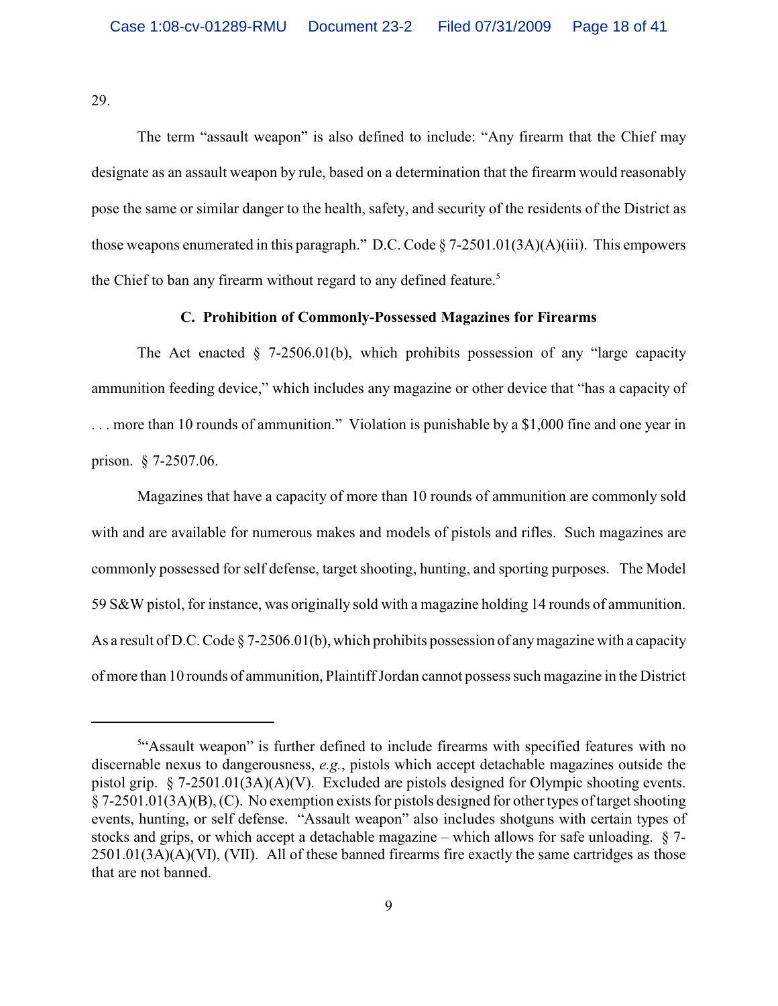29.

The term "assault weapon" is also defined to include: "Any firearm that the Chief may designate as an assault weapon by rule, based on a determination that the firearm would reasonably pose the same or similar danger to the health, safety, and security of the residents of the District as those weapons enumerated in this paragraph." D.C. Code  $\S$  7-2501.01(3A)(A)(iii). This empowers the Chief to ban any firearm without regard to any defined feature.<sup>5</sup>

## **C. Prohibition of Commonly-Possessed Magazines for Firearms**

The Act enacted  $\S$  7-2506.01(b), which prohibits possession of any "large capacity ammunition feeding device," which includes any magazine or other device that "has a capacity of . . . more than 10 rounds of ammunition." Violation is punishable by a \$1,000 fine and one year in prison. § 7-2507.06.

Magazines that have a capacity of more than 10 rounds of ammunition are commonly sold with and are available for numerous makes and models of pistols and rifles. Such magazines are commonly possessed for self defense, target shooting, hunting, and sporting purposes. The Model 59 S&W pistol, for instance, was originally sold with a magazine holding 14 rounds of ammunition. As a result of D.C. Code  $\S$  7-2506.01(b), which prohibits possession of any magazine with a capacity of more than 10 rounds of ammunition, Plaintiff Jordan cannot possess such magazine in the District

<sup>&</sup>lt;sup>5"</sup>Assault weapon" is further defined to include firearms with specified features with no discernable nexus to dangerousness, *e.g.*, pistols which accept detachable magazines outside the pistol grip. § 7-2501.01(3A)(A)(V). Excluded are pistols designed for Olympic shooting events. § 7-2501.01(3A)(B), (C). No exemption exists for pistols designed for other types of target shooting events, hunting, or self defense. "Assault weapon" also includes shotguns with certain types of stocks and grips, or which accept a detachable magazine – which allows for safe unloading. § 7- 2501.01(3A)(A)(VI), (VII). All of these banned firearms fire exactly the same cartridges as those that are not banned.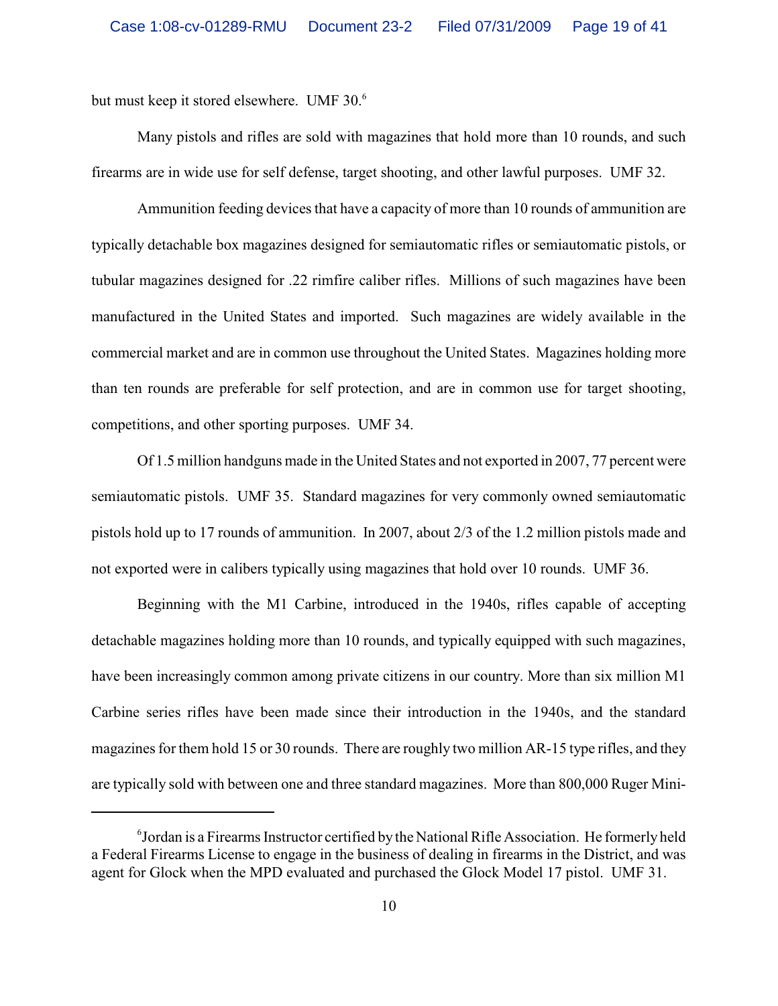but must keep it stored elsewhere. UMF 30.<sup>6</sup>

Many pistols and rifles are sold with magazines that hold more than 10 rounds, and such firearms are in wide use for self defense, target shooting, and other lawful purposes. UMF 32.

Ammunition feeding devices that have a capacity of more than 10 rounds of ammunition are typically detachable box magazines designed for semiautomatic rifles or semiautomatic pistols, or tubular magazines designed for .22 rimfire caliber rifles. Millions of such magazines have been manufactured in the United States and imported. Such magazines are widely available in the commercial market and are in common use throughout the United States. Magazines holding more than ten rounds are preferable for self protection, and are in common use for target shooting, competitions, and other sporting purposes. UMF 34.

Of 1.5 million handguns made in the United States and not exported in 2007, 77 percent were semiautomatic pistols. UMF 35. Standard magazines for very commonly owned semiautomatic pistols hold up to 17 rounds of ammunition. In 2007, about 2/3 of the 1.2 million pistols made and not exported were in calibers typically using magazines that hold over 10 rounds. UMF 36.

Beginning with the M1 Carbine, introduced in the 1940s, rifles capable of accepting detachable magazines holding more than 10 rounds, and typically equipped with such magazines, have been increasingly common among private citizens in our country. More than six million M1 Carbine series rifles have been made since their introduction in the 1940s, and the standard magazines for them hold 15 or 30 rounds. There are roughly two million AR-15 type rifles, and they are typically sold with between one and three standard magazines. More than 800,000 Ruger Mini-

<sup>&</sup>lt;sup>6</sup> Jordan is a Firearms Instructor certified by the National Rifle Association. He formerly held a Federal Firearms License to engage in the business of dealing in firearms in the District, and was agent for Glock when the MPD evaluated and purchased the Glock Model 17 pistol. UMF 31.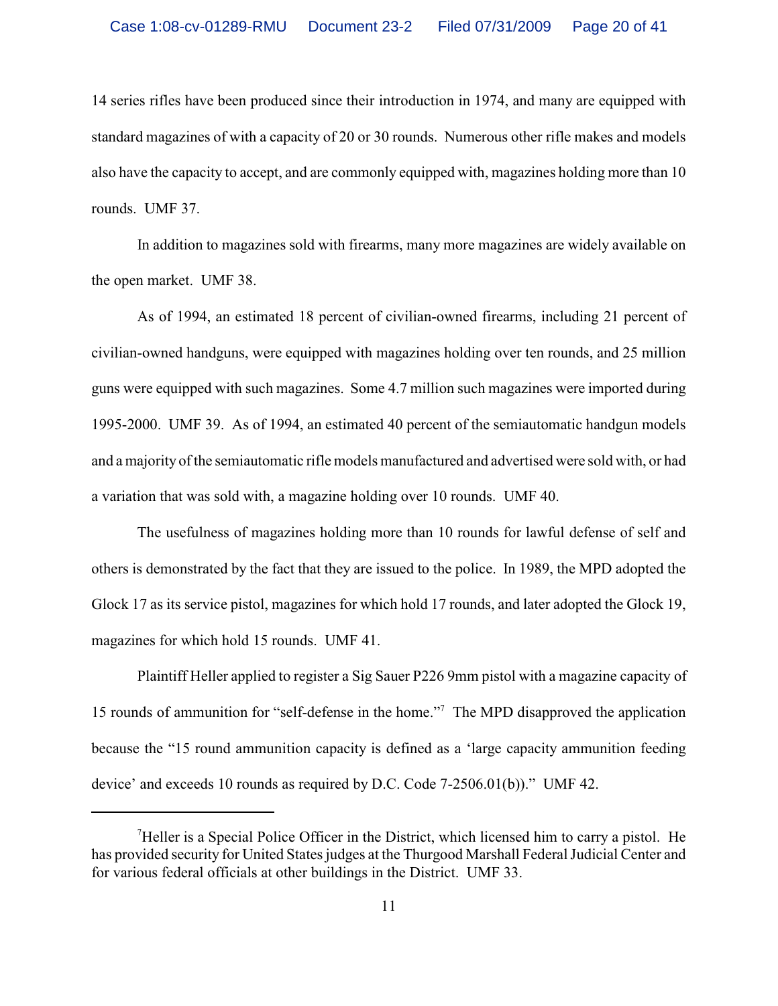14 series rifles have been produced since their introduction in 1974, and many are equipped with standard magazines of with a capacity of 20 or 30 rounds. Numerous other rifle makes and models also have the capacity to accept, and are commonly equipped with, magazines holding more than 10 rounds. UMF 37.

In addition to magazines sold with firearms, many more magazines are widely available on the open market. UMF 38.

As of 1994, an estimated 18 percent of civilian-owned firearms, including 21 percent of civilian-owned handguns, were equipped with magazines holding over ten rounds, and 25 million guns were equipped with such magazines. Some 4.7 million such magazines were imported during 1995-2000. UMF 39. As of 1994, an estimated 40 percent of the semiautomatic handgun models and a majority of the semiautomatic rifle models manufactured and advertised were sold with, or had a variation that was sold with, a magazine holding over 10 rounds. UMF 40.

The usefulness of magazines holding more than 10 rounds for lawful defense of self and others is demonstrated by the fact that they are issued to the police. In 1989, the MPD adopted the Glock 17 as its service pistol, magazines for which hold 17 rounds, and later adopted the Glock 19, magazines for which hold 15 rounds. UMF 41.

Plaintiff Heller applied to register a Sig Sauer P226 9mm pistol with a magazine capacity of 15 rounds of ammunition for "self-defense in the home."<sup>7</sup> The MPD disapproved the application because the "15 round ammunition capacity is defined as a 'large capacity ammunition feeding device' and exceeds 10 rounds as required by D.C. Code 7-2506.01(b))." UMF 42.

 $\mu$ Heller is a Special Police Officer in the District, which licensed him to carry a pistol. He has provided security for United States judges at the Thurgood Marshall Federal Judicial Center and for various federal officials at other buildings in the District. UMF 33.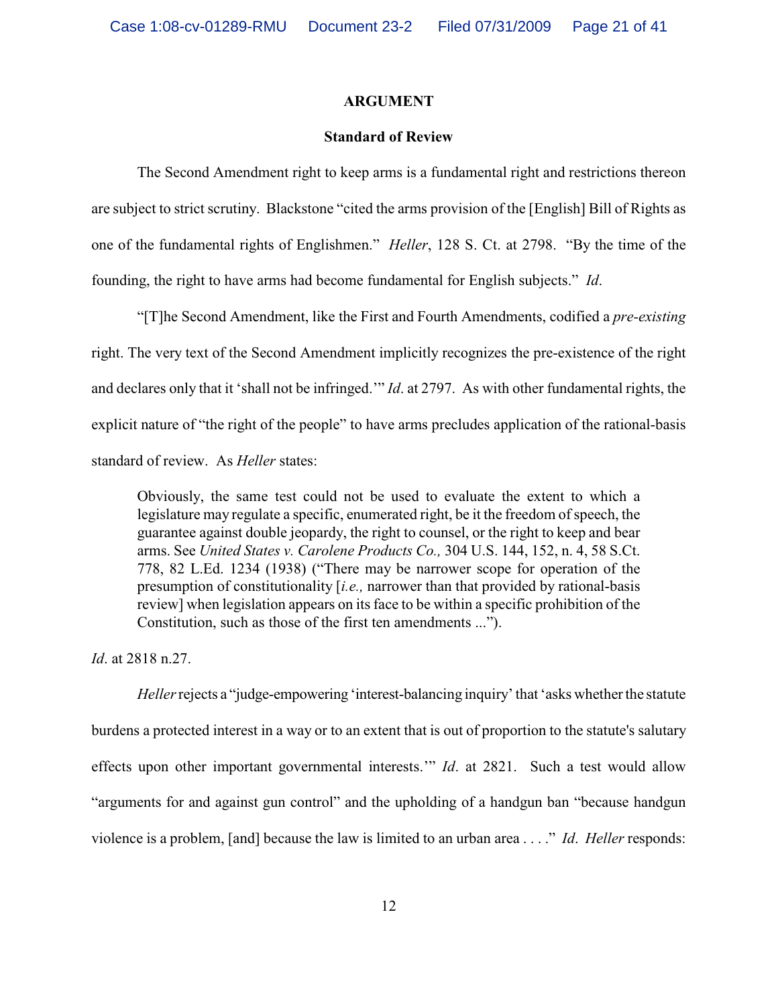#### **ARGUMENT**

#### **Standard of Review**

The Second Amendment right to keep arms is a fundamental right and restrictions thereon are subject to strict scrutiny. Blackstone "cited the arms provision of the [English] Bill of Rights as one of the fundamental rights of Englishmen." *Heller*, 128 S. Ct. at 2798. "By the time of the founding, the right to have arms had become fundamental for English subjects." *Id*.

"[T]he Second Amendment, like the First and Fourth Amendments, codified a *pre-existing* right. The very text of the Second Amendment implicitly recognizes the pre-existence of the right and declares only that it 'shall not be infringed.'" *Id*. at 2797. As with other fundamental rights, the explicit nature of "the right of the people" to have arms precludes application of the rational-basis standard of review. As *Heller* states:

Obviously, the same test could not be used to evaluate the extent to which a legislature may regulate a specific, enumerated right, be it the freedom of speech, the guarantee against double jeopardy, the right to counsel, or the right to keep and bear arms. See *United States v. Carolene Products Co.,* 304 U.S. 144, 152, n. 4, 58 S.Ct. 778, 82 L.Ed. 1234 (1938) ("There may be narrower scope for operation of the presumption of constitutionality [*i.e.,* narrower than that provided by rational-basis review] when legislation appears on its face to be within a specific prohibition of the Constitution, such as those of the first ten amendments ...").

*Id*. at 2818 n.27.

*Heller* rejects a "judge-empowering 'interest-balancing inquiry' that 'asks whether the statute burdens a protected interest in a way or to an extent that is out of proportion to the statute's salutary effects upon other important governmental interests.'" *Id*. at 2821. Such a test would allow "arguments for and against gun control" and the upholding of a handgun ban "because handgun violence is a problem, [and] because the law is limited to an urban area . . . ." *Id*. *Heller* responds: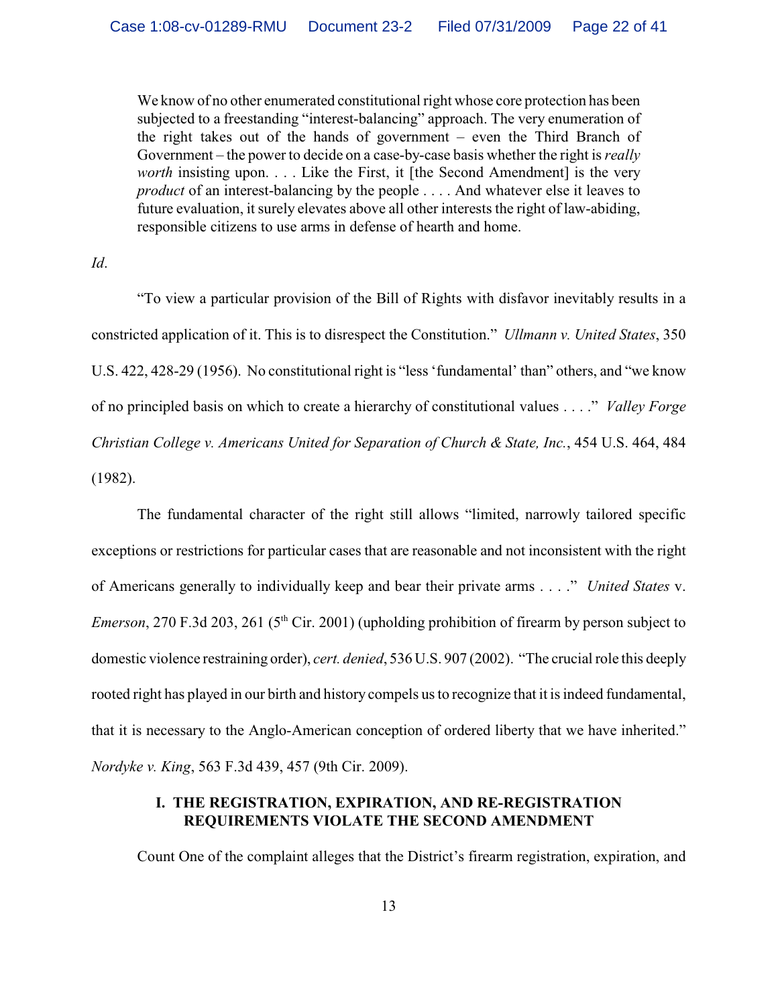We know of no other enumerated constitutional right whose core protection has been subjected to a freestanding "interest-balancing" approach. The very enumeration of the right takes out of the hands of government – even the Third Branch of Government – the power to decide on a case-by-case basis whether the right is *really worth* insisting upon. . . . Like the First, it [the Second Amendment] is the very *product* of an interest-balancing by the people . . . . And whatever else it leaves to future evaluation, it surely elevates above all other interests the right of law-abiding, responsible citizens to use arms in defense of hearth and home.

*Id*.

"To view a particular provision of the Bill of Rights with disfavor inevitably results in a constricted application of it. This is to disrespect the Constitution." *Ullmann v. United States*, 350 U.S. 422, 428-29 (1956). No constitutional right is "less 'fundamental' than" others, and "we know of no principled basis on which to create a hierarchy of constitutional values . . . ." *Valley Forge Christian College v. Americans United for Separation of Church & State, Inc.*, 454 U.S. 464, 484 (1982).

The fundamental character of the right still allows "limited, narrowly tailored specific exceptions or restrictions for particular cases that are reasonable and not inconsistent with the right of Americans generally to individually keep and bear their private arms . . . ." *United States* v. *Emerson*, 270 F.3d 203, 261 ( $5<sup>th</sup>$  Cir. 2001) (upholding prohibition of firearm by person subject to domestic violence restraining order), *cert. denied*, 536 U.S. 907 (2002). "The crucial role this deeply rooted right has played in our birth and history compels us to recognize that it is indeed fundamental, that it is necessary to the Anglo-American conception of ordered liberty that we have inherited." *Nordyke v. King*, 563 F.3d 439, 457 (9th Cir. 2009).

# **I. THE REGISTRATION, EXPIRATION, AND RE-REGISTRATION REQUIREMENTS VIOLATE THE SECOND AMENDMENT**

Count One of the complaint alleges that the District's firearm registration, expiration, and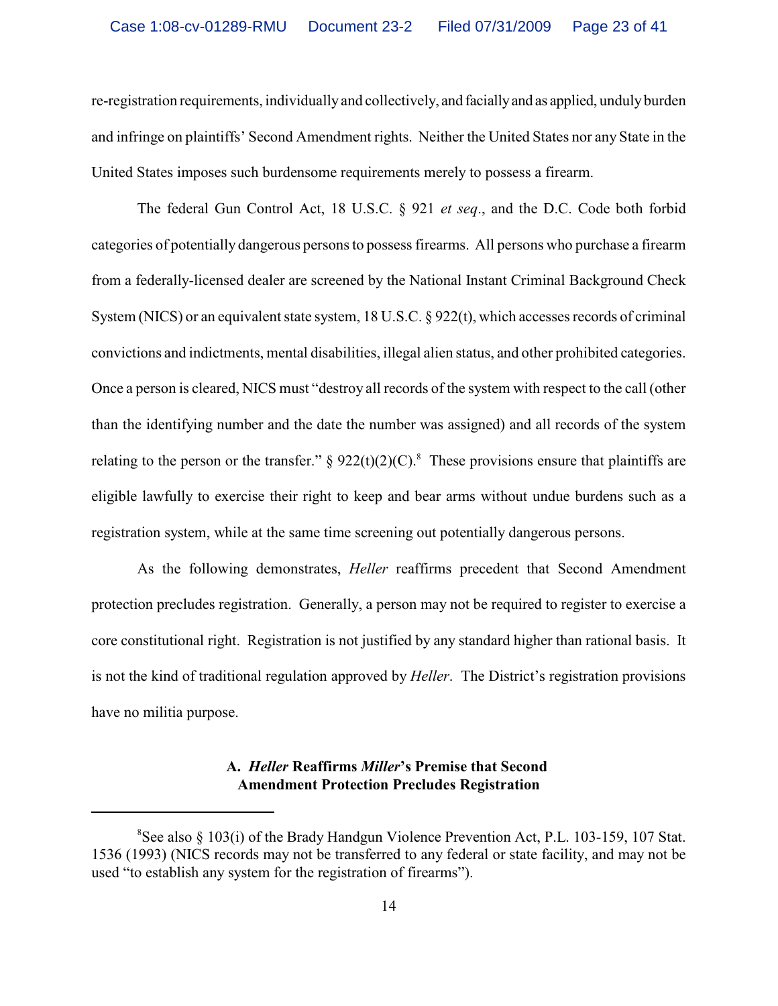re-registration requirements, individually and collectively, and facially and as applied, unduly burden and infringe on plaintiffs' Second Amendment rights. Neither the United States nor any State in the United States imposes such burdensome requirements merely to possess a firearm.

The federal Gun Control Act, 18 U.S.C. § 921 *et seq*., and the D.C. Code both forbid categories of potentially dangerous persons to possess firearms. All persons who purchase a firearm from a federally-licensed dealer are screened by the National Instant Criminal Background Check System (NICS) or an equivalent state system, 18 U.S.C. § 922(t), which accesses records of criminal convictions and indictments, mental disabilities, illegal alien status, and other prohibited categories. Once a person is cleared, NICS must "destroy all records of the system with respect to the call (other than the identifying number and the date the number was assigned) and all records of the system relating to the person or the transfer."  $\S 922(t)(2)(C)$ .<sup>8</sup> These provisions ensure that plaintiffs are eligible lawfully to exercise their right to keep and bear arms without undue burdens such as a registration system, while at the same time screening out potentially dangerous persons.

As the following demonstrates, *Heller* reaffirms precedent that Second Amendment protection precludes registration. Generally, a person may not be required to register to exercise a core constitutional right. Registration is not justified by any standard higher than rational basis. It is not the kind of traditional regulation approved by *Heller*. The District's registration provisions have no militia purpose.

# **A.** *Heller* **Reaffirms** *Miller***'s Premise that Second Amendment Protection Precludes Registration**

 ${}^{8}$ See also § 103(i) of the Brady Handgun Violence Prevention Act, P.L. 103-159, 107 Stat. 1536 (1993) (NICS records may not be transferred to any federal or state facility, and may not be used "to establish any system for the registration of firearms").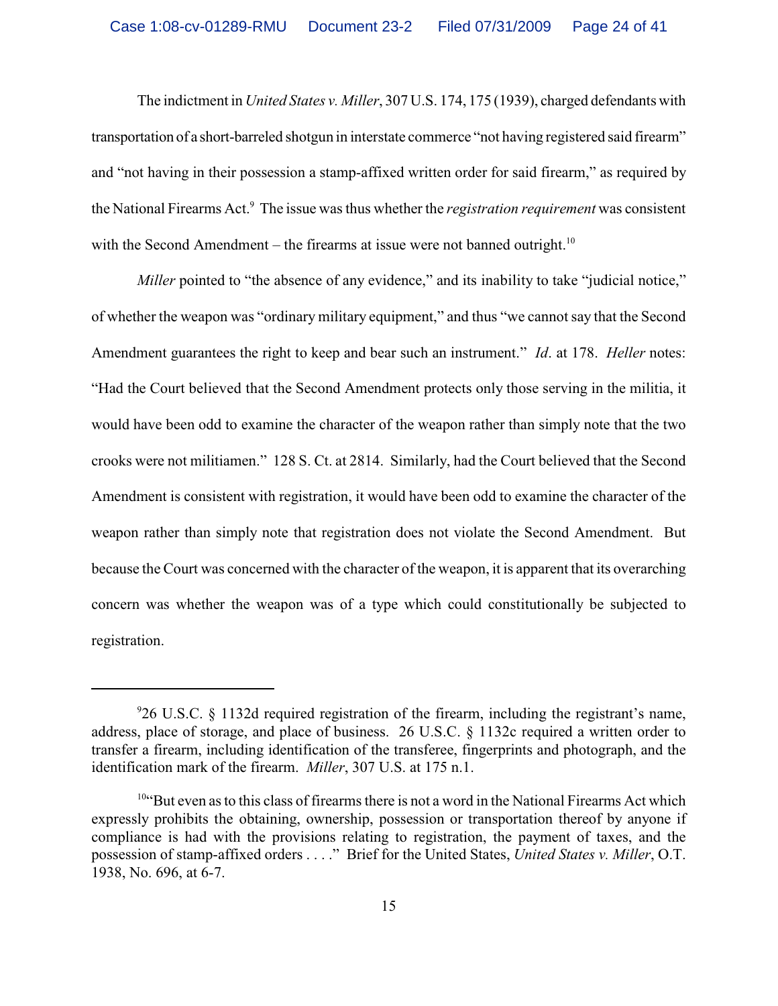The indictment in *United States v. Miller*, 307 U.S. 174, 175 (1939), charged defendants with transportation of a short-barreled shotgun in interstate commerce "not having registered said firearm" and "not having in their possession a stamp-affixed written order for said firearm," as required by the National Firearms Act.<sup>9</sup> The issue was thus whether the *registration requirement* was consistent with the Second Amendment – the firearms at issue were not banned outright.<sup>10</sup>

*Miller* pointed to "the absence of any evidence," and its inability to take "judicial notice," of whether the weapon was "ordinary military equipment," and thus "we cannot say that the Second Amendment guarantees the right to keep and bear such an instrument." *Id*. at 178. *Heller* notes: "Had the Court believed that the Second Amendment protects only those serving in the militia, it would have been odd to examine the character of the weapon rather than simply note that the two crooks were not militiamen." 128 S. Ct. at 2814. Similarly, had the Court believed that the Second Amendment is consistent with registration, it would have been odd to examine the character of the weapon rather than simply note that registration does not violate the Second Amendment. But because the Court was concerned with the character of the weapon, it is apparent that its overarching concern was whether the weapon was of a type which could constitutionally be subjected to registration.

<sup>26</sup> U.S.C. § 1132d required registration of the firearm, including the registrant's name, <sup>9</sup> address, place of storage, and place of business. 26 U.S.C. § 1132c required a written order to transfer a firearm, including identification of the transferee, fingerprints and photograph, and the identification mark of the firearm. *Miller*, 307 U.S. at 175 n.1.

 $10$ <sup>4</sup> $\mu$ <sup>104</sup> $\mu$ But even as to this class of firearms there is not a word in the National Firearms Act which expressly prohibits the obtaining, ownership, possession or transportation thereof by anyone if compliance is had with the provisions relating to registration, the payment of taxes, and the possession of stamp-affixed orders . . . ." Brief for the United States, *United States v. Miller*, O.T. 1938, No. 696, at 6-7.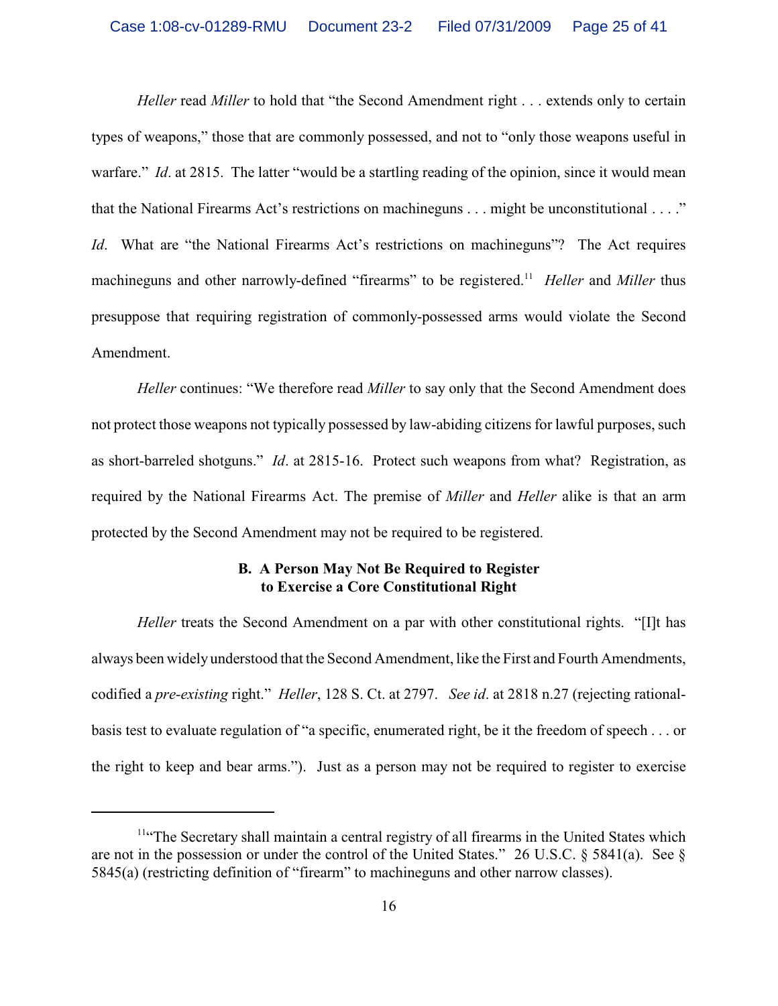*Heller* read *Miller* to hold that "the Second Amendment right . . . extends only to certain types of weapons," those that are commonly possessed, and not to "only those weapons useful in warfare." *Id.* at 2815. The latter "would be a startling reading of the opinion, since it would mean that the National Firearms Act's restrictions on machineguns . . . might be unconstitutional . . . ." *Id.* What are "the National Firearms Act's restrictions on machineguns"? The Act requires machineguns and other narrowly-defined "firearms" to be registered.<sup>11</sup> Heller and Miller thus presuppose that requiring registration of commonly-possessed arms would violate the Second Amendment.

*Heller* continues: "We therefore read *Miller* to say only that the Second Amendment does not protect those weapons not typically possessed by law-abiding citizens for lawful purposes, such as short-barreled shotguns." *Id*. at 2815-16. Protect such weapons from what? Registration, as required by the National Firearms Act. The premise of *Miller* and *Heller* alike is that an arm protected by the Second Amendment may not be required to be registered.

# **B. A Person May Not Be Required to Register to Exercise a Core Constitutional Right**

*Heller* treats the Second Amendment on a par with other constitutional rights. "[I]t has always been widely understood that the Second Amendment, like the First and Fourth Amendments, codified a *pre-existing* right." *Heller*, 128 S. Ct. at 2797. *See id*. at 2818 n.27 (rejecting rationalbasis test to evaluate regulation of "a specific, enumerated right, be it the freedom of speech . . . or the right to keep and bear arms."). Just as a person may not be required to register to exercise

 $<sup>114</sup>$ The Secretary shall maintain a central registry of all firearms in the United States which</sup> are not in the possession or under the control of the United States." 26 U.S.C. § 5841(a). See § 5845(a) (restricting definition of "firearm" to machineguns and other narrow classes).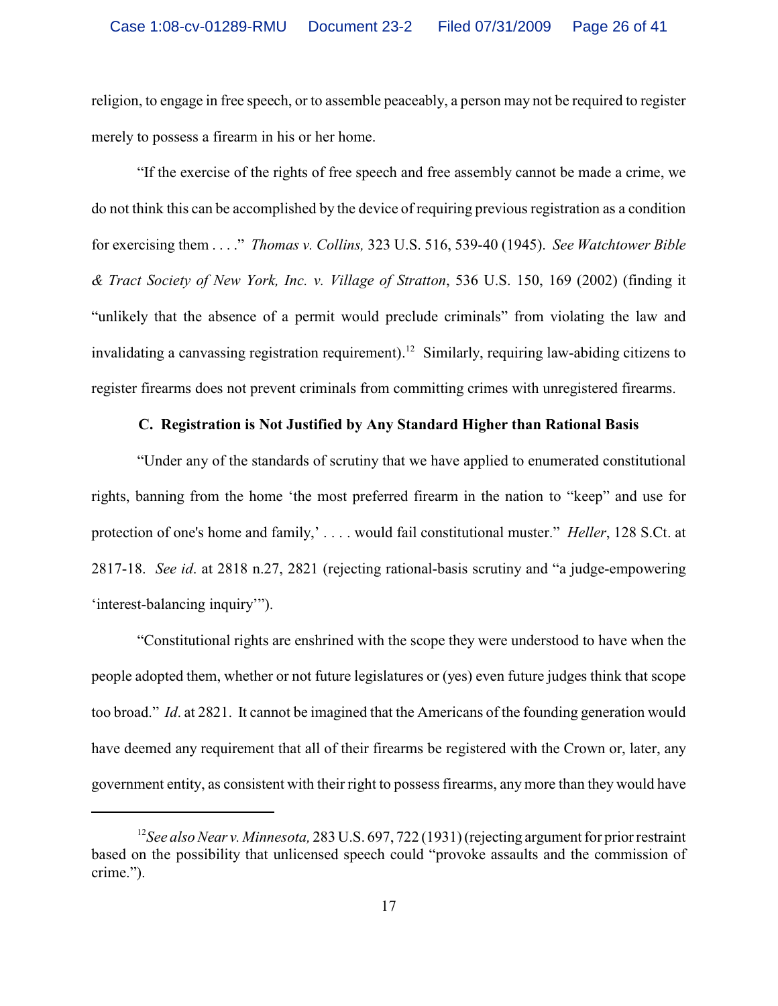religion, to engage in free speech, or to assemble peaceably, a person may not be required to register merely to possess a firearm in his or her home.

"If the exercise of the rights of free speech and free assembly cannot be made a crime, we do not think this can be accomplished by the device of requiring previous registration as a condition for exercising them . . . ." *Thomas v. Collins,* 323 U.S. 516, 539-40 (1945). *See Watchtower Bible & Tract Society of New York, Inc. v. Village of Stratton*, 536 U.S. 150, 169 (2002) (finding it "unlikely that the absence of a permit would preclude criminals" from violating the law and invalidating a canvassing registration requirement).<sup>12</sup> Similarly, requiring law-abiding citizens to register firearms does not prevent criminals from committing crimes with unregistered firearms.

#### **C. Registration is Not Justified by Any Standard Higher than Rational Basis**

"Under any of the standards of scrutiny that we have applied to enumerated constitutional rights, banning from the home 'the most preferred firearm in the nation to "keep" and use for protection of one's home and family,' . . . . would fail constitutional muster." *Heller*, 128 S.Ct. at 2817-18. *See id*. at 2818 n.27, 2821 (rejecting rational-basis scrutiny and "a judge-empowering 'interest-balancing inquiry'").

"Constitutional rights are enshrined with the scope they were understood to have when the people adopted them, whether or not future legislatures or (yes) even future judges think that scope too broad." *Id*. at 2821. It cannot be imagined that the Americans of the founding generation would have deemed any requirement that all of their firearms be registered with the Crown or, later, any government entity, as consistent with their right to possess firearms, any more than they would have

<sup>&</sup>lt;sup>12</sup> See also Near v. Minnesota, 283 U.S. 697, 722 (1931) (rejecting argument for prior restraint based on the possibility that unlicensed speech could "provoke assaults and the commission of crime.").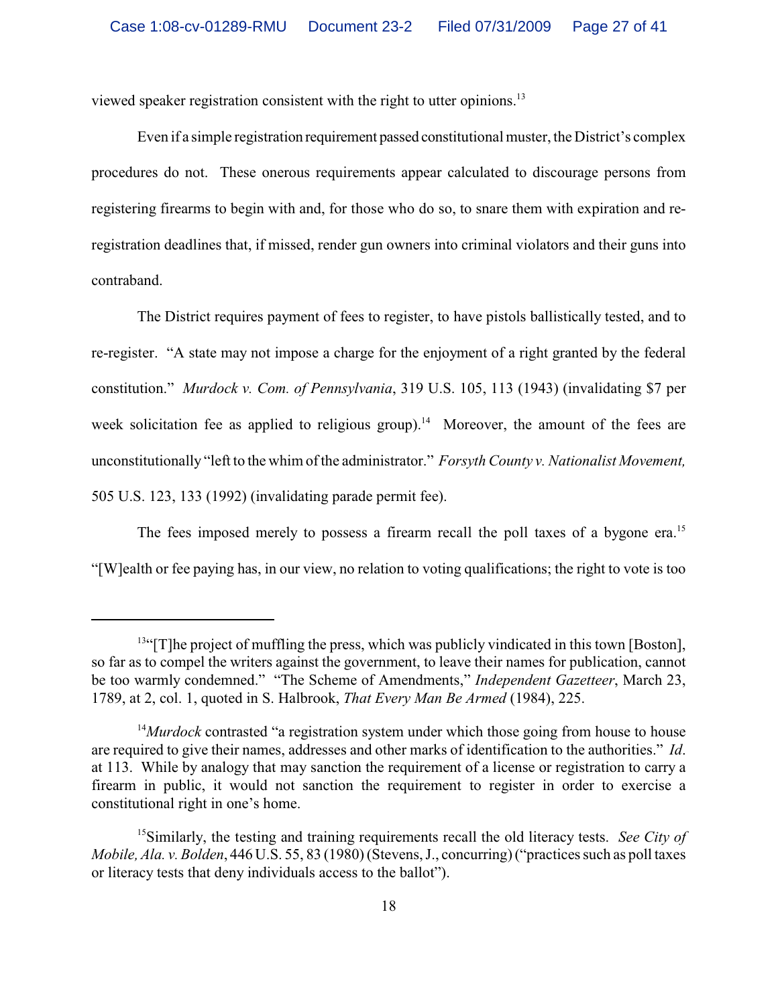viewed speaker registration consistent with the right to utter opinions.<sup>13</sup>

Even if a simple registration requirement passed constitutional muster, the District's complex procedures do not. These onerous requirements appear calculated to discourage persons from registering firearms to begin with and, for those who do so, to snare them with expiration and reregistration deadlines that, if missed, render gun owners into criminal violators and their guns into contraband.

The District requires payment of fees to register, to have pistols ballistically tested, and to re-register. "A state may not impose a charge for the enjoyment of a right granted by the federal constitution." *Murdock v. Com. of Pennsylvania*, 319 U.S. 105, 113 (1943) (invalidating \$7 per week solicitation fee as applied to religious group).<sup>14</sup> Moreover, the amount of the fees are unconstitutionally "left to the whim of the administrator." *Forsyth County v. Nationalist Movement,* 505 U.S. 123, 133 (1992) (invalidating parade permit fee).

The fees imposed merely to possess a firearm recall the poll taxes of a bygone era.<sup>15</sup> "[W]ealth or fee paying has, in our view, no relation to voting qualifications; the right to vote is too

 $<sup>13</sup>$ "[T]he project of muffling the press, which was publicly vindicated in this town [Boston],</sup> so far as to compel the writers against the government, to leave their names for publication, cannot be too warmly condemned." "The Scheme of Amendments," *Independent Gazetteer*, March 23, 1789, at 2, col. 1, quoted in S. Halbrook, *That Every Man Be Armed* (1984), 225.

<sup>&</sup>lt;sup>14</sup>*Murdock* contrasted "a registration system under which those going from house to house are required to give their names, addresses and other marks of identification to the authorities." *Id*. at 113. While by analogy that may sanction the requirement of a license or registration to carry a firearm in public, it would not sanction the requirement to register in order to exercise a constitutional right in one's home.

<sup>&</sup>lt;sup>15</sup> Similarly, the testing and training requirements recall the old literacy tests. *See City of Mobile, Ala. v. Bolden*, 446 U.S. 55, 83 (1980) (Stevens, J., concurring) ("practices such as poll taxes or literacy tests that deny individuals access to the ballot").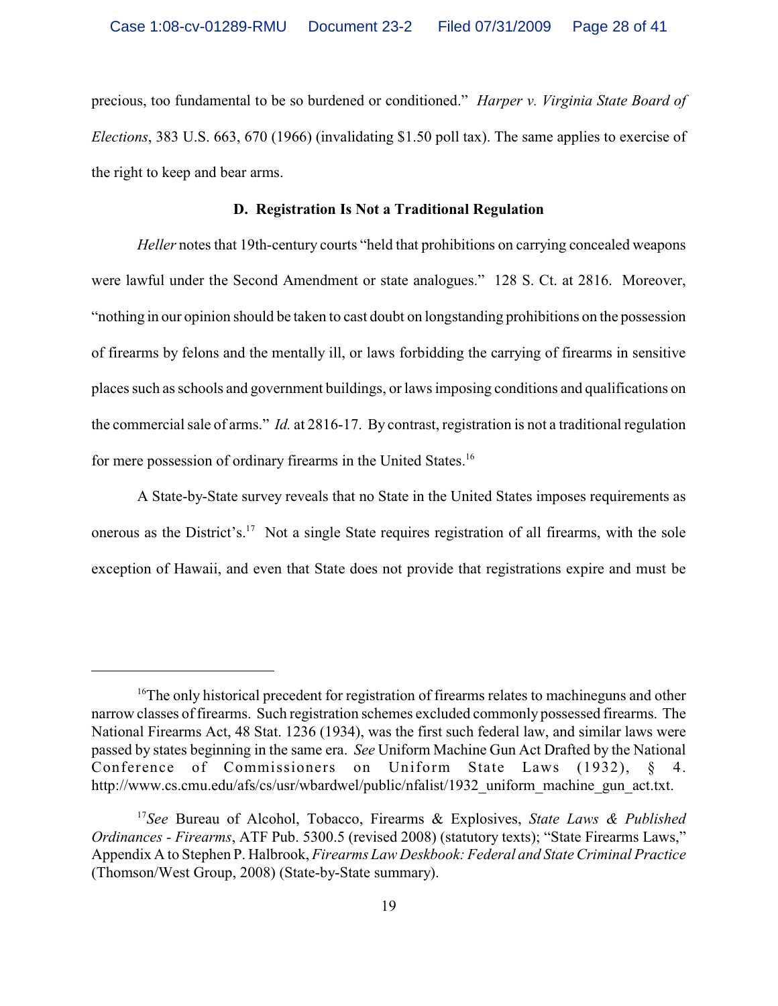precious, too fundamental to be so burdened or conditioned." *Harper v. Virginia State Board of Elections*, 383 U.S. 663, 670 (1966) (invalidating \$1.50 poll tax). The same applies to exercise of the right to keep and bear arms.

## **D. Registration Is Not a Traditional Regulation**

*Heller* notes that 19th-century courts "held that prohibitions on carrying concealed weapons were lawful under the Second Amendment or state analogues." 128 S. Ct. at 2816. Moreover, "nothing in our opinion should be taken to cast doubt on longstanding prohibitions on the possession of firearms by felons and the mentally ill, or laws forbidding the carrying of firearms in sensitive places such as schools and government buildings, or laws imposing conditions and qualifications on the commercial sale of arms." *Id.* at 2816-17. By contrast, registration is not a traditional regulation for mere possession of ordinary firearms in the United States.<sup>16</sup>

A State-by-State survey reveals that no State in the United States imposes requirements as onerous as the District's.<sup>17</sup> Not a single State requires registration of all firearms, with the sole exception of Hawaii, and even that State does not provide that registrations expire and must be

<sup>&</sup>lt;sup> $16$ </sup>The only historical precedent for registration of firearms relates to machineguns and other narrow classes of firearms. Such registration schemes excluded commonly possessed firearms. The National Firearms Act, 48 Stat. 1236 (1934), was the first such federal law, and similar laws were passed by states beginning in the same era. *See* Uniform Machine Gun Act Drafted by the National Conference of Commissioners on Uniform State Laws (1932), http://www.cs.cmu.edu/afs/cs/usr/wbardwel/public/nfalist/1932\_uniform\_machine\_gun\_act.txt.

<sup>&</sup>lt;sup>17</sup>See Bureau of Alcohol, Tobacco, Firearms & Explosives, *State Laws & Published Ordinances - Firearms*, ATF Pub. 5300.5 (revised 2008) (statutory texts); "State Firearms Laws," Appendix A to Stephen P. Halbrook, *Firearms Law Deskbook: Federal and State Criminal Practice* (Thomson/West Group, 2008) (State-by-State summary).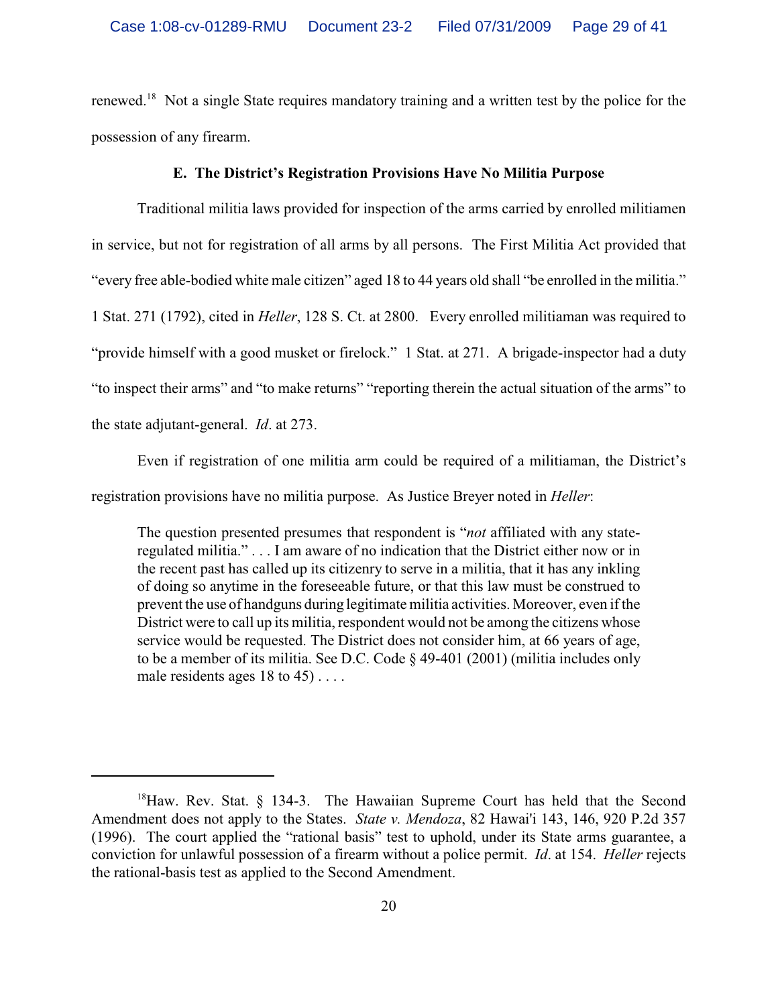renewed.<sup>18</sup> Not a single State requires mandatory training and a written test by the police for the possession of any firearm.

## **E. The District's Registration Provisions Have No Militia Purpose**

Traditional militia laws provided for inspection of the arms carried by enrolled militiamen in service, but not for registration of all arms by all persons. The First Militia Act provided that "every free able-bodied white male citizen" aged 18 to 44 years old shall "be enrolled in the militia." 1 Stat. 271 (1792), cited in *Heller*, 128 S. Ct. at 2800. Every enrolled militiaman was required to "provide himself with a good musket or firelock." 1 Stat. at 271. A brigade-inspector had a duty "to inspect their arms" and "to make returns" "reporting therein the actual situation of the arms" to the state adjutant-general. *Id*. at 273.

Even if registration of one militia arm could be required of a militiaman, the District's registration provisions have no militia purpose. As Justice Breyer noted in *Heller*:

The question presented presumes that respondent is "*not* affiliated with any stateregulated militia." . . . I am aware of no indication that the District either now or in the recent past has called up its citizenry to serve in a militia, that it has any inkling of doing so anytime in the foreseeable future, or that this law must be construed to prevent the use of handguns during legitimate militia activities. Moreover, even if the District were to call up its militia, respondent would not be among the citizens whose service would be requested. The District does not consider him, at 66 years of age, to be a member of its militia. See D.C. Code § 49-401 (2001) (militia includes only male residents ages 18 to 45) . . . .

 $^{18}$ Haw. Rev. Stat. § 134-3. The Hawaiian Supreme Court has held that the Second Amendment does not apply to the States. *State v. Mendoza*, 82 Hawai'i 143, 146, 920 P.2d 357 (1996). The court applied the "rational basis" test to uphold, under its State arms guarantee, a conviction for unlawful possession of a firearm without a police permit. *Id*. at 154. *Heller* rejects the rational-basis test as applied to the Second Amendment.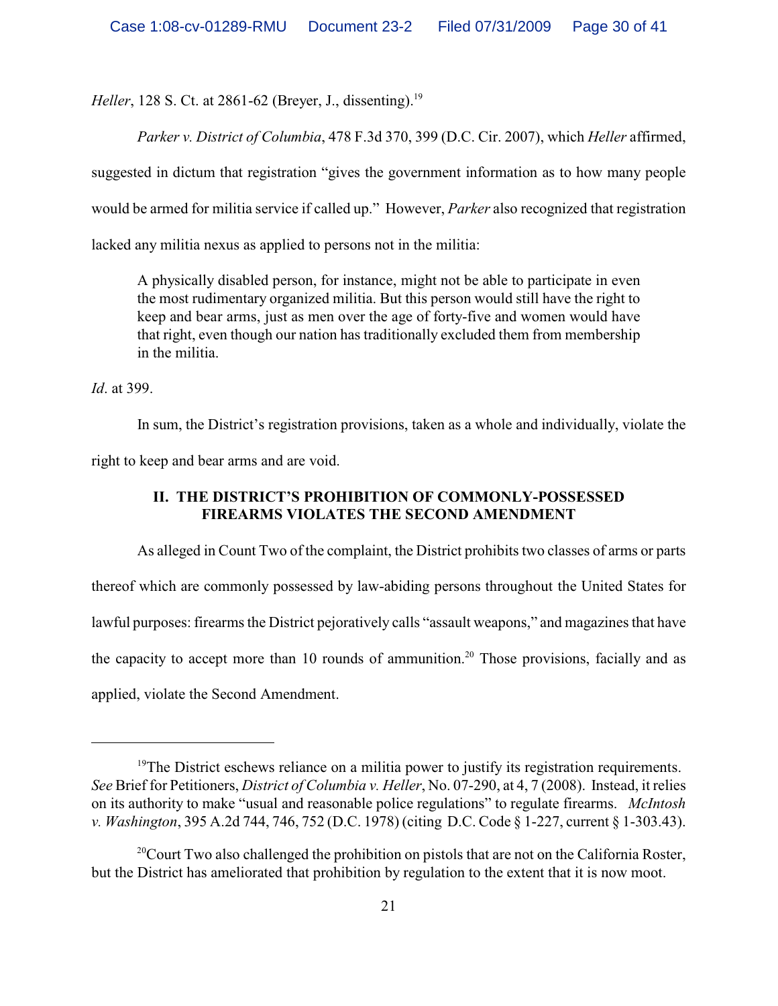*Heller*, 128 S. Ct. at 2861-62 (Breyer, J., dissenting).<sup>19</sup>

*Parker v. District of Columbia*, 478 F.3d 370, 399 (D.C. Cir. 2007), which *Heller* affirmed,

suggested in dictum that registration "gives the government information as to how many people

would be armed for militia service if called up." However, *Parker* also recognized that registration

lacked any militia nexus as applied to persons not in the militia:

A physically disabled person, for instance, might not be able to participate in even the most rudimentary organized militia. But this person would still have the right to keep and bear arms, just as men over the age of forty-five and women would have that right, even though our nation has traditionally excluded them from membership in the militia.

*Id*. at 399.

In sum, the District's registration provisions, taken as a whole and individually, violate the

right to keep and bear arms and are void.

# **II. THE DISTRICT'S PROHIBITION OF COMMONLY-POSSESSED FIREARMS VIOLATES THE SECOND AMENDMENT**

As alleged in Count Two of the complaint, the District prohibits two classes of arms or parts thereof which are commonly possessed by law-abiding persons throughout the United States for lawful purposes: firearms the District pejoratively calls "assault weapons," and magazines that have the capacity to accept more than 10 rounds of ammunition.<sup>20</sup> Those provisions, facially and as applied, violate the Second Amendment.

 $19$ <sup>19</sup>The District eschews reliance on a militia power to justify its registration requirements. *See* Brief for Petitioners, *District of Columbia v. Heller*, No. 07-290, at 4, 7 (2008). Instead, it relies on its authority to make "usual and reasonable police regulations" to regulate firearms. *McIntosh v. Washington*, 395 A.2d 744, 746, 752 (D.C. 1978) (citing D.C. Code § 1-227, current § 1-303.43).

 $^{20}$ Court Two also challenged the prohibition on pistols that are not on the California Roster, but the District has ameliorated that prohibition by regulation to the extent that it is now moot.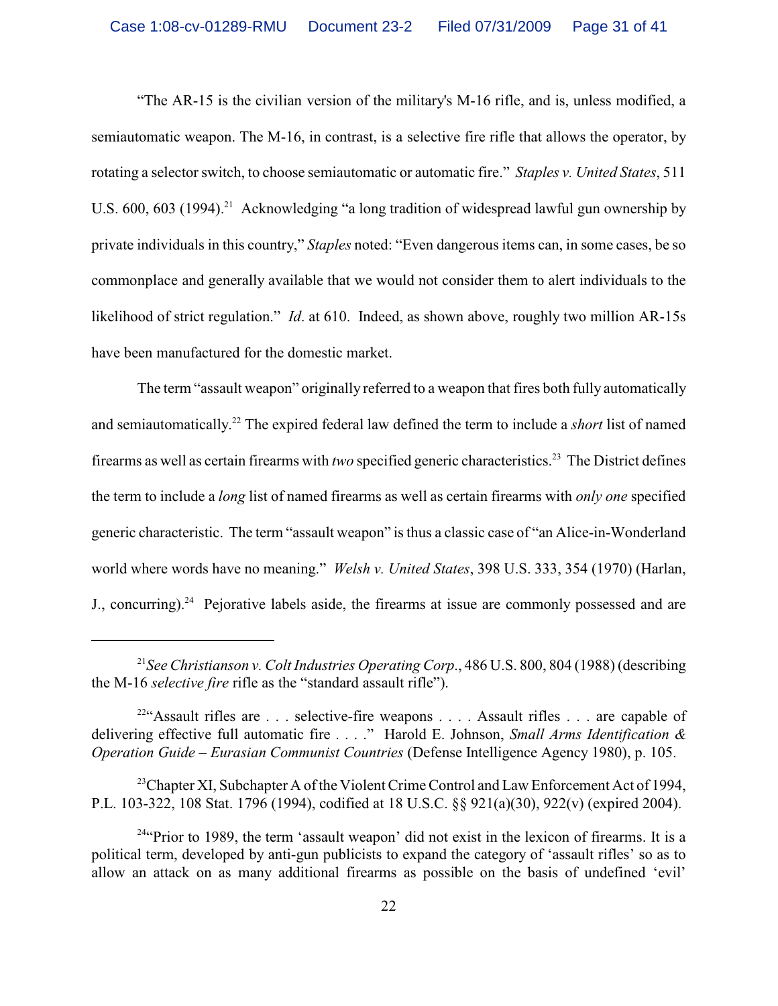"The AR-15 is the civilian version of the military's M-16 rifle, and is, unless modified, a semiautomatic weapon. The M-16, in contrast, is a selective fire rifle that allows the operator, by rotating a selector switch, to choose semiautomatic or automatic fire." *Staples v. United States*, 511 U.S.  $600$ ,  $603$  (1994).<sup>21</sup> Acknowledging "a long tradition of widespread lawful gun ownership by private individuals in this country," *Staples* noted: "Even dangerous items can, in some cases, be so commonplace and generally available that we would not consider them to alert individuals to the likelihood of strict regulation." *Id*. at 610. Indeed, as shown above, roughly two million AR-15s have been manufactured for the domestic market.

The term "assault weapon" originally referred to a weapon that fires both fully automatically and semiautomatically.<sup>22</sup> The expired federal law defined the term to include a *short* list of named firearms as well as certain firearms with *two* specified generic characteristics.<sup>23</sup> The District defines the term to include a *long* list of named firearms as well as certain firearms with *only one* specified generic characteristic. The term "assault weapon" is thus a classic case of "an Alice-in-Wonderland world where words have no meaning." *Welsh v. United States*, 398 U.S. 333, 354 (1970) (Harlan, J., concurring).<sup>24</sup> Pejorative labels aside, the firearms at issue are commonly possessed and are

<sup>&</sup>lt;sup>21</sup> See *Christianson v. Colt Industries Operating Corp.*, 486 U.S. 800, 804 (1988) (describing the M-16 *selective fire* rifle as the "standard assault rifle").

<sup>&</sup>lt;sup>22</sup>"Assault rifles are . . . selective-fire weapons . . . . Assault rifles . . . are capable of delivering effective full automatic fire . . . ." Harold E. Johnson, *Small Arms Identification & Operation Guide – Eurasian Communist Countries* (Defense Intelligence Agency 1980), p. 105.

<sup>&</sup>lt;sup>23</sup>Chapter XI, Subchapter A of the Violent Crime Control and Law Enforcement Act of 1994, P.L. 103-322, 108 Stat. 1796 (1994), codified at 18 U.S.C. §§ 921(a)(30), 922(v) (expired 2004).

 $24$ <sup>44</sup> Prior to 1989, the term 'assault weapon' did not exist in the lexicon of firearms. It is a political term, developed by anti-gun publicists to expand the category of 'assault rifles' so as to allow an attack on as many additional firearms as possible on the basis of undefined 'evil'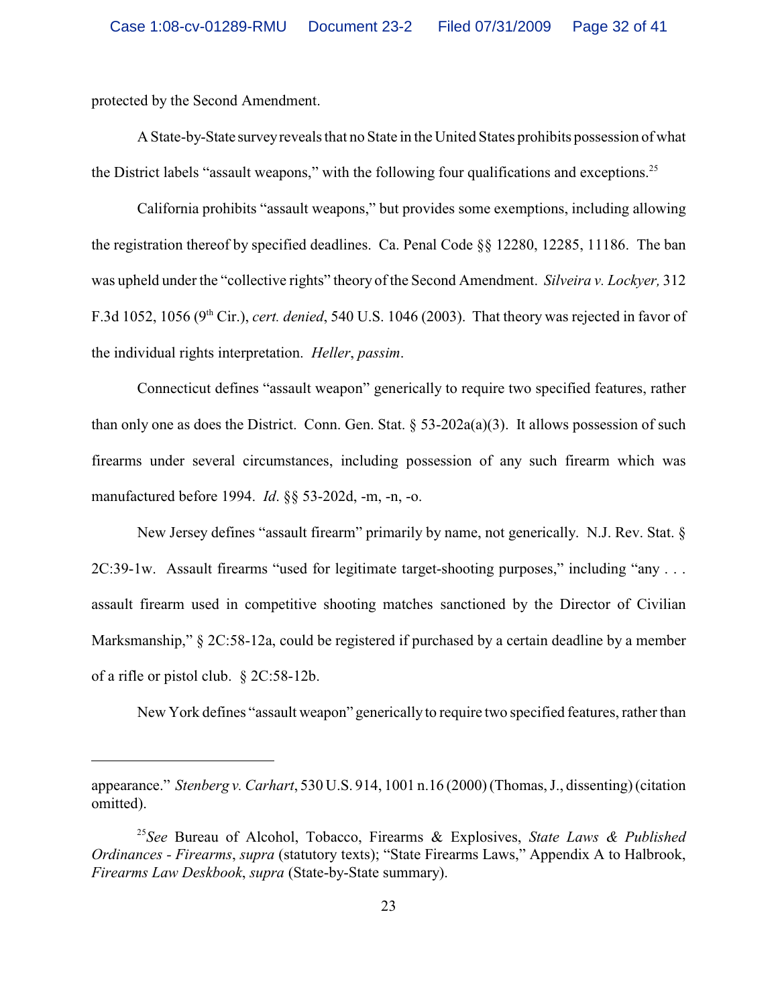protected by the Second Amendment.

A State-by-State survey reveals that no State in the United States prohibits possession of what the District labels "assault weapons," with the following four qualifications and exceptions.<sup>25</sup>

California prohibits "assault weapons," but provides some exemptions, including allowing the registration thereof by specified deadlines. Ca. Penal Code §§ 12280, 12285, 11186. The ban was upheld under the "collective rights" theory of the Second Amendment. *Silveira v. Lockyer,* 312 F.3d 1052, 1056 (9<sup>th</sup> Cir.), *cert. denied*, 540 U.S. 1046 (2003). That theory was rejected in favor of the individual rights interpretation. *Heller*, *passim*.

Connecticut defines "assault weapon" generically to require two specified features, rather than only one as does the District. Conn. Gen. Stat.  $\S$  53-202a(a)(3). It allows possession of such firearms under several circumstances, including possession of any such firearm which was manufactured before 1994. *Id*. §§ 53-202d, -m, -n, -o.

New Jersey defines "assault firearm" primarily by name, not generically. N.J. Rev. Stat. § 2C:39-1w. Assault firearms "used for legitimate target-shooting purposes," including "any . . . assault firearm used in competitive shooting matches sanctioned by the Director of Civilian Marksmanship," § 2C:58-12a, could be registered if purchased by a certain deadline by a member of a rifle or pistol club. § 2C:58-12b.

New York defines "assault weapon" generically to require two specified features, rather than

appearance." *Stenberg v. Carhart*, 530 U.S. 914, 1001 n.16 (2000) (Thomas, J., dissenting) (citation omitted).

<sup>&</sup>lt;sup>25</sup> See Bureau of Alcohol, Tobacco, Firearms & Explosives, *State Laws & Published Ordinances - Firearms*, *supra* (statutory texts); "State Firearms Laws," Appendix A to Halbrook, *Firearms Law Deskbook*, *supra* (State-by-State summary).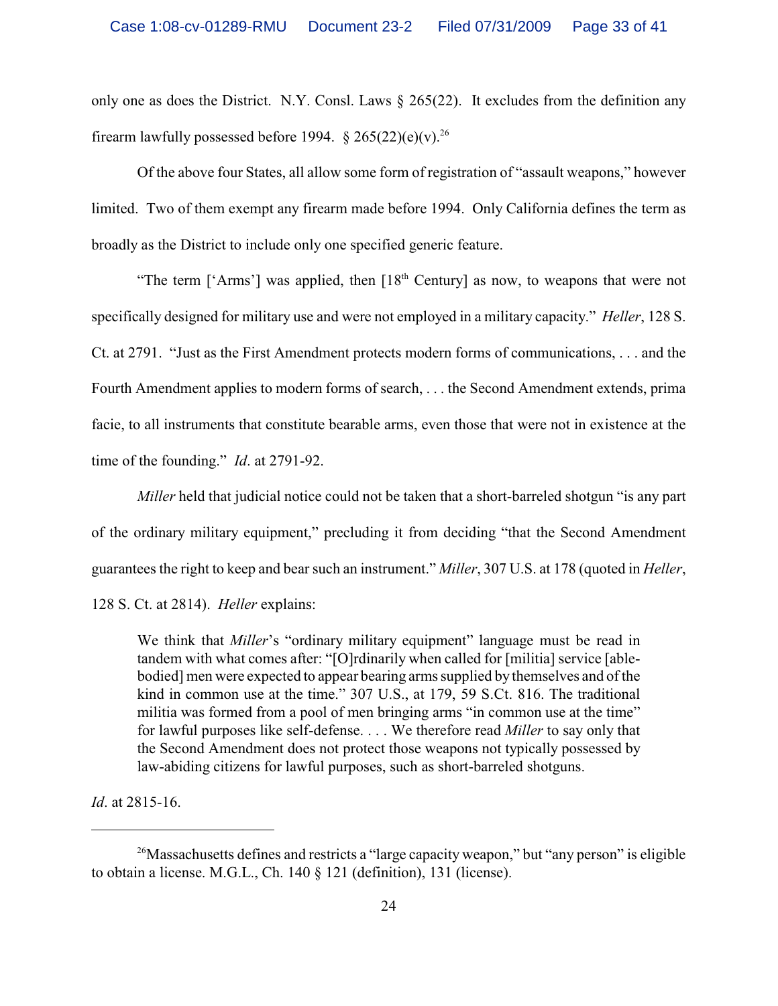only one as does the District. N.Y. Consl. Laws § 265(22). It excludes from the definition any firearm lawfully possessed before 1994.  $\S 265(22)(e)(v)^{26}$ 

Of the above four States, all allow some form of registration of "assault weapons," however limited. Two of them exempt any firearm made before 1994. Only California defines the term as broadly as the District to include only one specified generic feature.

"The term ['Arms'] was applied, then  $[18<sup>th</sup>$  Century] as now, to weapons that were not specifically designed for military use and were not employed in a military capacity." *Heller*, 128 S. Ct. at 2791. "Just as the First Amendment protects modern forms of communications, . . . and the Fourth Amendment applies to modern forms of search, . . . the Second Amendment extends, prima facie, to all instruments that constitute bearable arms, even those that were not in existence at the time of the founding." *Id*. at 2791-92.

*Miller* held that judicial notice could not be taken that a short-barreled shotgun "is any part of the ordinary military equipment," precluding it from deciding "that the Second Amendment guarantees the right to keep and bear such an instrument." *Miller*, 307 U.S. at 178 (quoted in *Heller*,

128 S. Ct. at 2814). *Heller* explains:

We think that *Miller*'s "ordinary military equipment" language must be read in tandem with what comes after: "[O]rdinarily when called for [militia] service [ablebodied] men were expected to appear bearing arms supplied by themselves and of the kind in common use at the time." 307 U.S., at 179, 59 S.Ct. 816. The traditional militia was formed from a pool of men bringing arms "in common use at the time" for lawful purposes like self-defense. . . . We therefore read *Miller* to say only that the Second Amendment does not protect those weapons not typically possessed by law-abiding citizens for lawful purposes, such as short-barreled shotguns.

*Id*. at 2815-16.

<sup>&</sup>lt;sup>26</sup>Massachusetts defines and restricts a "large capacity weapon," but "any person" is eligible to obtain a license. M.G.L., Ch. 140 § 121 (definition), 131 (license).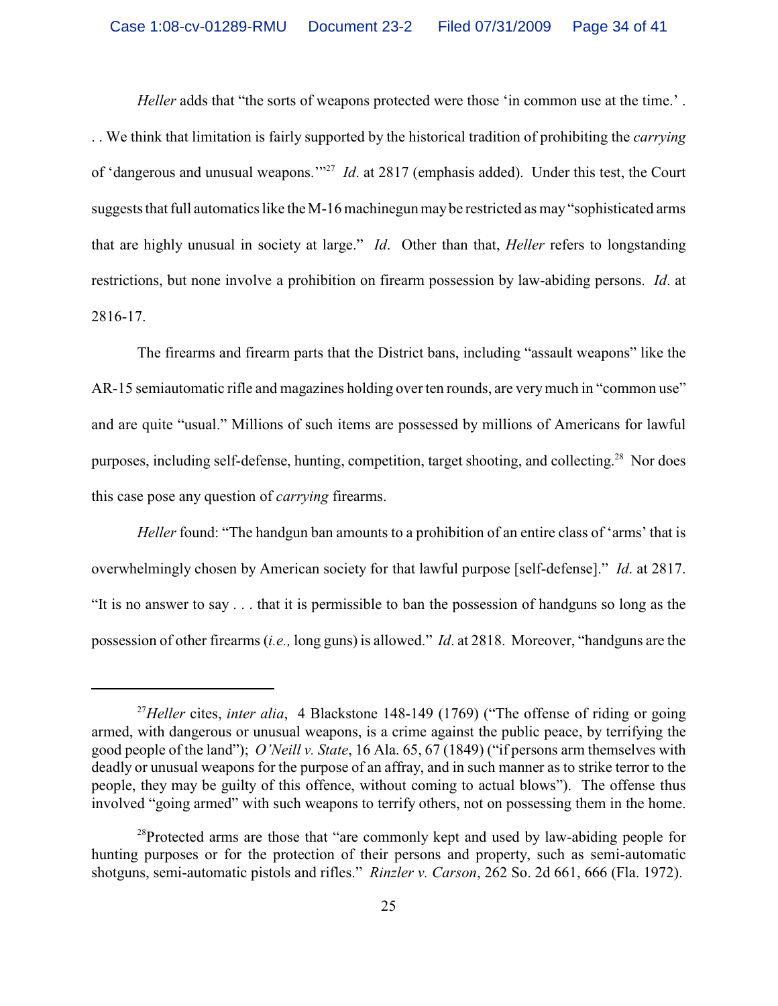*Heller* adds that "the sorts of weapons protected were those 'in common use at the time.'. . . We think that limitation is fairly supported by the historical tradition of prohibiting the *carrying* of 'dangerous and unusual weapons.'"<sup>27</sup> *Id*. at 2817 (emphasis added). Under this test, the Court suggests that full automatics like the M-16 machinegun may be restricted as may "sophisticated arms" that are highly unusual in society at large." *Id*. Other than that, *Heller* refers to longstanding restrictions, but none involve a prohibition on firearm possession by law-abiding persons. *Id*. at 2816-17.

The firearms and firearm parts that the District bans, including "assault weapons" like the AR-15 semiautomatic rifle and magazines holding over ten rounds, are very much in "common use" and are quite "usual." Millions of such items are possessed by millions of Americans for lawful purposes, including self-defense, hunting, competition, target shooting, and collecting.<sup>28</sup> Nor does this case pose any question of *carrying* firearms.

*Heller* found: "The handgun ban amounts to a prohibition of an entire class of 'arms' that is overwhelmingly chosen by American society for that lawful purpose [self-defense]." *Id*. at 2817. "It is no answer to say . . . that it is permissible to ban the possession of handguns so long as the possession of other firearms (*i.e.,* long guns) is allowed." *Id*. at 2818. Moreover, "handguns are the

<sup>&</sup>lt;sup>27</sup> Heller cites, *inter alia*, 4 Blackstone 148-149 (1769) ("The offense of riding or going armed, with dangerous or unusual weapons, is a crime against the public peace, by terrifying the good people of the land"); *O'Neill v. State*, 16 Ala. 65, 67 (1849) ("if persons arm themselves with deadly or unusual weapons for the purpose of an affray, and in such manner as to strike terror to the people, they may be guilty of this offence, without coming to actual blows"). The offense thus involved "going armed" with such weapons to terrify others, not on possessing them in the home.

 $^{28}$ Protected arms are those that "are commonly kept and used by law-abiding people for hunting purposes or for the protection of their persons and property, such as semi-automatic shotguns, semi-automatic pistols and rifles." *Rinzler v. Carson*, 262 So. 2d 661, 666 (Fla. 1972).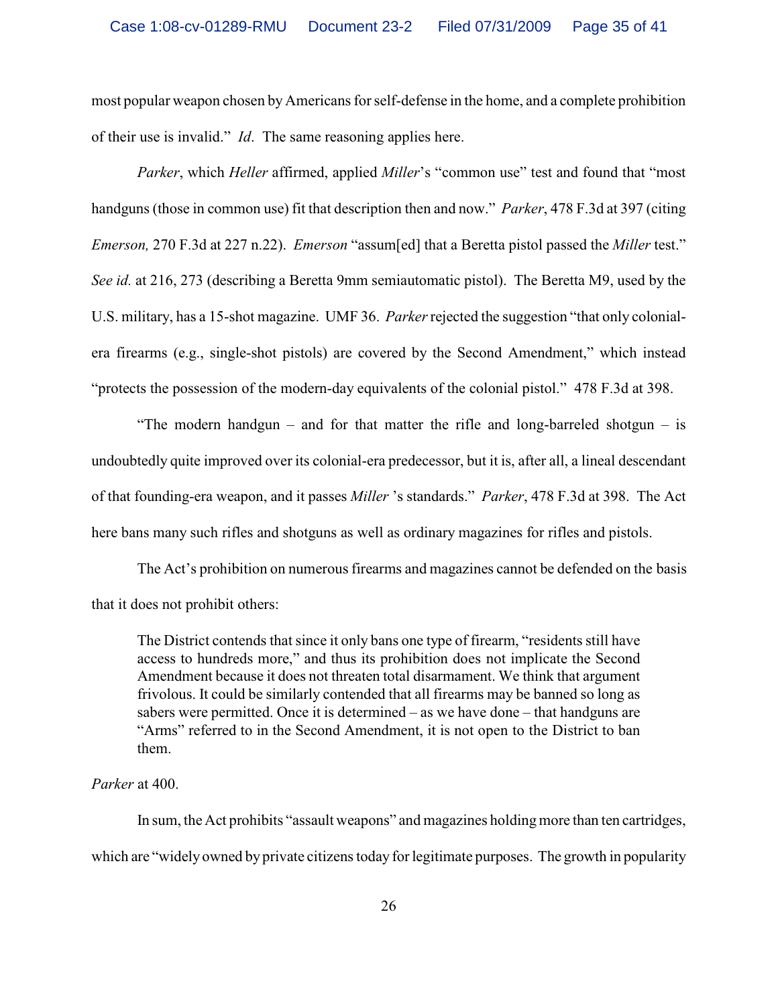most popular weapon chosen by Americans for self-defense in the home, and a complete prohibition of their use is invalid." *Id*. The same reasoning applies here.

*Parker*, which *Heller* affirmed, applied *Miller*'s "common use" test and found that "most handguns (those in common use) fit that description then and now." *Parker*, 478 F.3d at 397 (citing *Emerson,* 270 F.3d at 227 n.22). *Emerson* "assum[ed] that a Beretta pistol passed the *Miller* test." *See id.* at 216, 273 (describing a Beretta 9mm semiautomatic pistol). The Beretta M9, used by the U.S. military, has a 15-shot magazine. UMF 36. *Parker* rejected the suggestion "that only colonialera firearms (e.g., single-shot pistols) are covered by the Second Amendment," which instead "protects the possession of the modern-day equivalents of the colonial pistol." 478 F.3d at 398.

"The modern handgun – and for that matter the rifle and long-barreled shotgun – is undoubtedly quite improved over its colonial-era predecessor, but it is, after all, a lineal descendant of that founding-era weapon, and it passes *Miller* 's standards." *Parker*, 478 F.3d at 398. The Act here bans many such rifles and shotguns as well as ordinary magazines for rifles and pistols.

The Act's prohibition on numerous firearms and magazines cannot be defended on the basis that it does not prohibit others:

The District contends that since it only bans one type of firearm, "residents still have access to hundreds more," and thus its prohibition does not implicate the Second Amendment because it does not threaten total disarmament. We think that argument frivolous. It could be similarly contended that all firearms may be banned so long as sabers were permitted. Once it is determined – as we have done – that handguns are "Arms" referred to in the Second Amendment, it is not open to the District to ban them.

# *Parker* at 400.

In sum, the Act prohibits "assault weapons" and magazines holding more than ten cartridges, which are "widely owned by private citizens today for legitimate purposes. The growth in popularity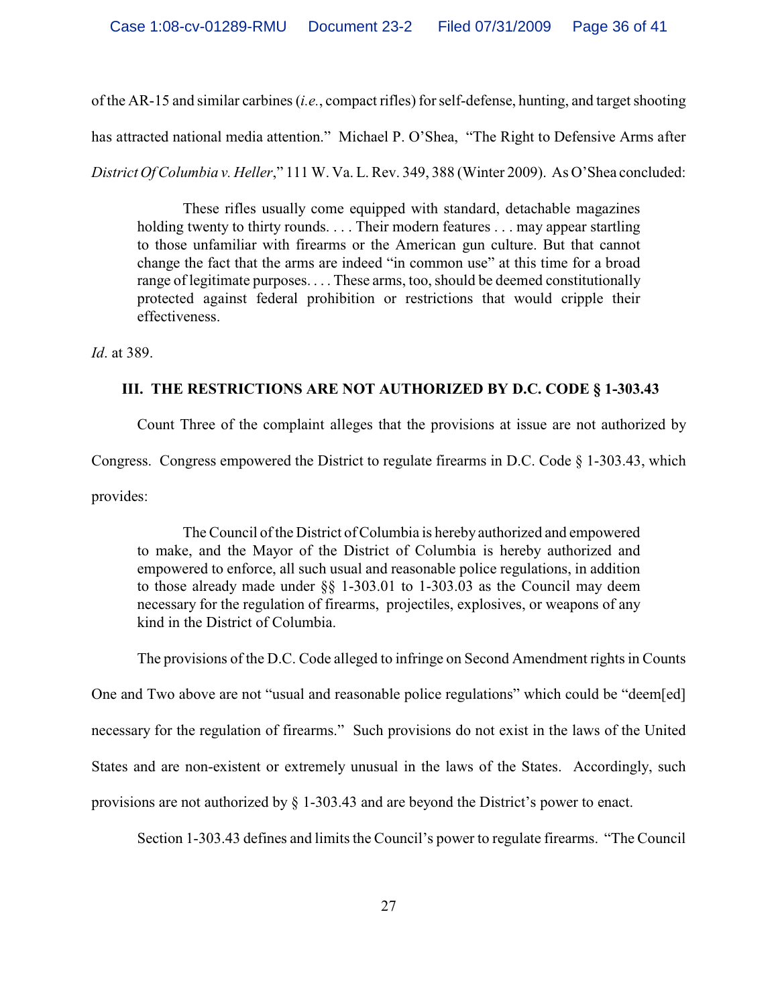of the AR-15 and similar carbines (*i.e.*, compact rifles) for self-defense, hunting, and target shooting

has attracted national media attention." Michael P. O'Shea, "The Right to Defensive Arms after

*District Of Columbia v. Heller*," 111 W. Va. L. Rev. 349, 388 (Winter 2009). As O'Shea concluded:

These rifles usually come equipped with standard, detachable magazines holding twenty to thirty rounds. . . . Their modern features . . . may appear startling to those unfamiliar with firearms or the American gun culture. But that cannot change the fact that the arms are indeed "in common use" at this time for a broad range of legitimate purposes. . . . These arms, too, should be deemed constitutionally protected against federal prohibition or restrictions that would cripple their effectiveness.

*Id*. at 389.

# **III. THE RESTRICTIONS ARE NOT AUTHORIZED BY D.C. CODE § 1-303.43**

Count Three of the complaint alleges that the provisions at issue are not authorized by Congress. Congress empowered the District to regulate firearms in D.C. Code § 1-303.43, which provides:

The Council of the District of Columbia is herebyauthorized and empowered to make, and the Mayor of the District of Columbia is hereby authorized and empowered to enforce, all such usual and reasonable police regulations, in addition to those already made under §§ 1-303.01 to 1-303.03 as the Council may deem necessary for the regulation of firearms, projectiles, explosives, or weapons of any kind in the District of Columbia.

The provisions of the D.C. Code alleged to infringe on Second Amendment rights in Counts

One and Two above are not "usual and reasonable police regulations" which could be "deem[ed]

necessary for the regulation of firearms." Such provisions do not exist in the laws of the United

States and are non-existent or extremely unusual in the laws of the States. Accordingly, such

provisions are not authorized by § 1-303.43 and are beyond the District's power to enact.

Section 1-303.43 defines and limits the Council's power to regulate firearms. "The Council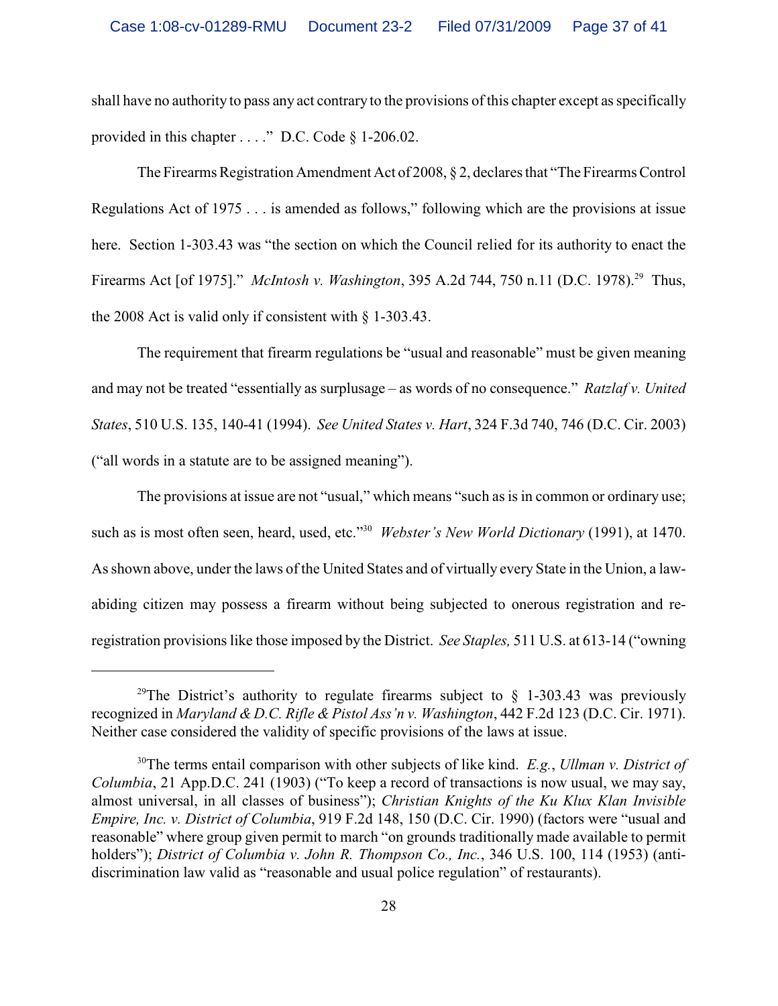shall have no authority to pass any act contrary to the provisions of this chapter except as specifically provided in this chapter . . . ." D.C. Code § 1-206.02.

The Firearms Registration Amendment Act of 2008, § 2, declares that "The Firearms Control Regulations Act of 1975 . . . is amended as follows," following which are the provisions at issue here. Section 1-303.43 was "the section on which the Council relied for its authority to enact the Firearms Act [of 1975]." *McIntosh v. Washington*, 395 A.2d 744, 750 n.11 (D.C. 1978).<sup>29</sup> Thus, the 2008 Act is valid only if consistent with § 1-303.43.

The requirement that firearm regulations be "usual and reasonable" must be given meaning and may not be treated "essentially as surplusage – as words of no consequence." *Ratzlaf v. United States*, 510 U.S. 135, 140-41 (1994). *See United States v. Hart*, 324 F.3d 740, 746 (D.C. Cir. 2003) ("all words in a statute are to be assigned meaning").

The provisions at issue are not "usual," which means "such as is in common or ordinary use; such as is most often seen, heard, used, etc."<sup>30</sup> Webster's New World Dictionary (1991), at 1470. As shown above, under the laws of the United States and of virtually every State in the Union, a lawabiding citizen may possess a firearm without being subjected to onerous registration and reregistration provisions like those imposed by the District. *See Staples,* 511 U.S. at 613-14 ("owning

<sup>&</sup>lt;sup>29</sup>The District's authority to regulate firearms subject to  $\frac{1}{2}$  1-303.43 was previously recognized in *Maryland & D.C. Rifle & Pistol Ass'n v. Washington*, 442 F.2d 123 (D.C. Cir. 1971). Neither case considered the validity of specific provisions of the laws at issue.

<sup>&</sup>lt;sup>30</sup>The terms entail comparison with other subjects of like kind. *E.g.*, *Ullman v. District of Columbia*, 21 App.D.C. 241 (1903) ("To keep a record of transactions is now usual, we may say, almost universal, in all classes of business"); *Christian Knights of the Ku Klux Klan Invisible Empire, Inc. v. District of Columbia*, 919 F.2d 148, 150 (D.C. Cir. 1990) (factors were "usual and reasonable" where group given permit to march "on grounds traditionally made available to permit holders"); *District of Columbia v. John R. Thompson Co., Inc.*, 346 U.S. 100, 114 (1953) (antidiscrimination law valid as "reasonable and usual police regulation" of restaurants).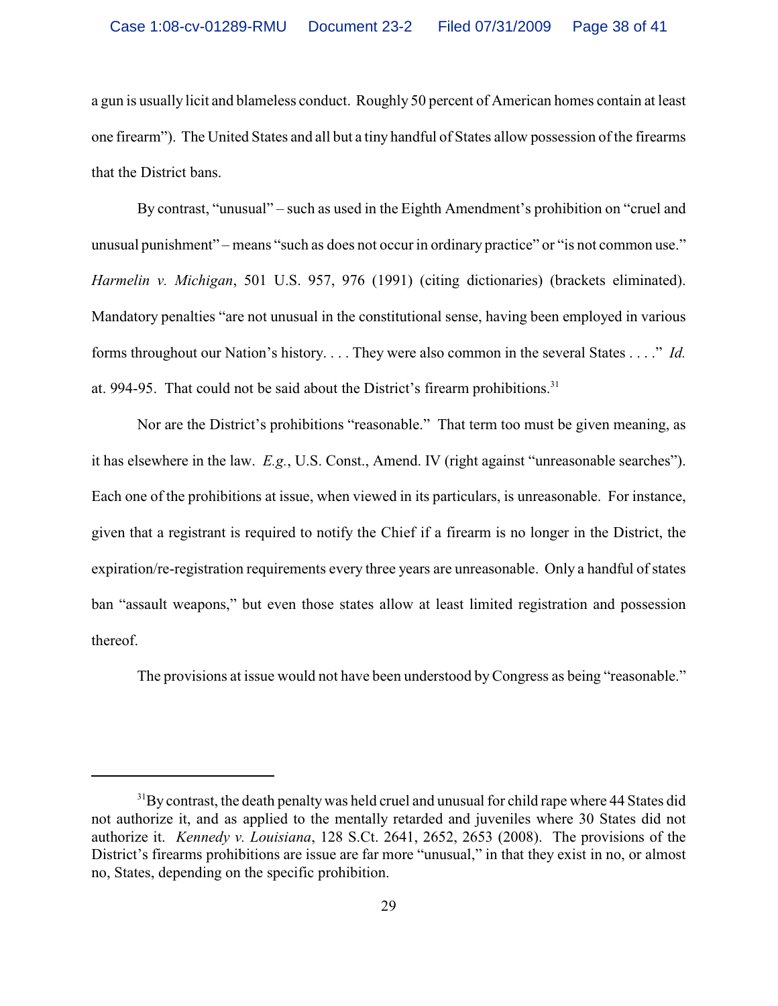a gun is usually licit and blameless conduct. Roughly 50 percent of American homes contain at least one firearm"). The United States and all but a tiny handful of States allow possession of the firearms that the District bans.

By contrast, "unusual" – such as used in the Eighth Amendment's prohibition on "cruel and unusual punishment" – means "such as does not occur in ordinary practice" or "is not common use." *Harmelin v. Michigan*, 501 U.S. 957, 976 (1991) (citing dictionaries) (brackets eliminated). Mandatory penalties "are not unusual in the constitutional sense, having been employed in various forms throughout our Nation's history. . . . They were also common in the several States . . . ." *Id.* at. 994-95. That could not be said about the District's firearm prohibitions.<sup>31</sup>

Nor are the District's prohibitions "reasonable." That term too must be given meaning, as it has elsewhere in the law. *E.g.*, U.S. Const., Amend. IV (right against "unreasonable searches"). Each one of the prohibitions at issue, when viewed in its particulars, is unreasonable. For instance, given that a registrant is required to notify the Chief if a firearm is no longer in the District, the expiration/re-registration requirements every three years are unreasonable. Only a handful of states ban "assault weapons," but even those states allow at least limited registration and possession thereof.

The provisions at issue would not have been understood by Congress as being "reasonable."

 $31$ By contrast, the death penalty was held cruel and unusual for child rape where 44 States did not authorize it, and as applied to the mentally retarded and juveniles where 30 States did not authorize it. *Kennedy v. Louisiana*, 128 S.Ct. 2641, 2652, 2653 (2008). The provisions of the District's firearms prohibitions are issue are far more "unusual," in that they exist in no, or almost no, States, depending on the specific prohibition.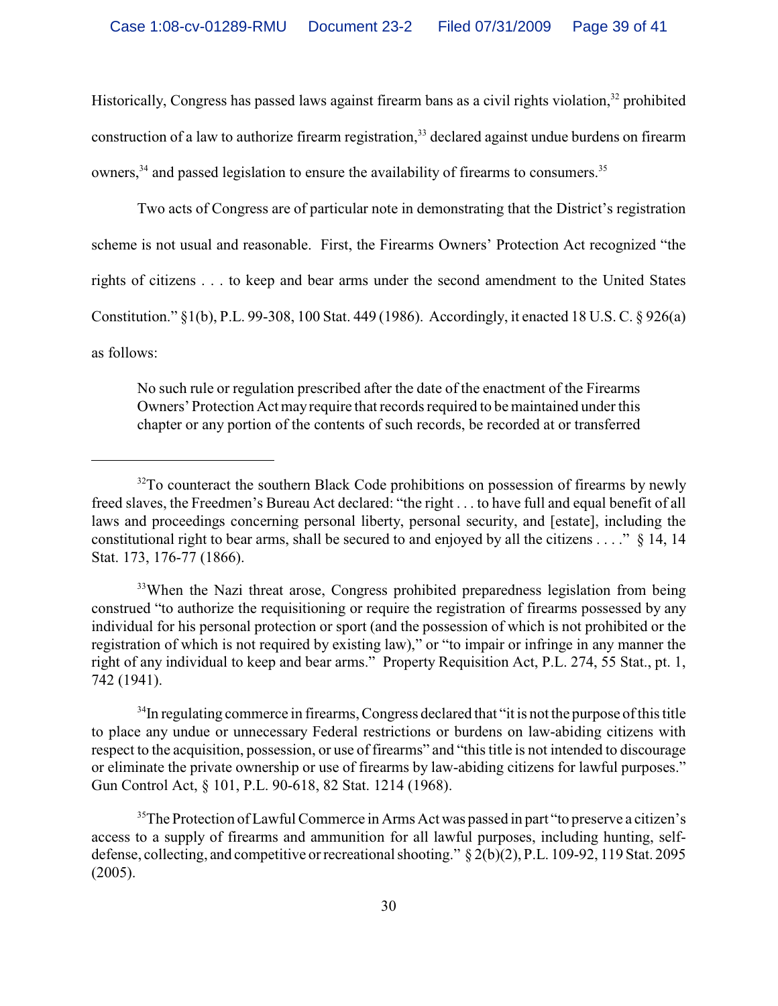Historically, Congress has passed laws against firearm bans as a civil rights violation,  $32$  prohibited construction of a law to authorize firearm registration,<sup>33</sup> declared against undue burdens on firearm owners, $34$  and passed legislation to ensure the availability of firearms to consumers.<sup>35</sup>

Two acts of Congress are of particular note in demonstrating that the District's registration scheme is not usual and reasonable. First, the Firearms Owners' Protection Act recognized "the rights of citizens . . . to keep and bear arms under the second amendment to the United States Constitution." §1(b), P.L. 99-308, 100 Stat. 449 (1986). Accordingly, it enacted 18 U.S. C. § 926(a) as follows:

No such rule or regulation prescribed after the date of the enactment of the Firearms Owners' Protection Act mayrequire that records required to be maintained under this chapter or any portion of the contents of such records, be recorded at or transferred

<sup>33</sup>When the Nazi threat arose, Congress prohibited preparedness legislation from being construed "to authorize the requisitioning or require the registration of firearms possessed by any individual for his personal protection or sport (and the possession of which is not prohibited or the registration of which is not required by existing law)," or "to impair or infringe in any manner the right of any individual to keep and bear arms." Property Requisition Act, P.L. 274, 55 Stat., pt. 1, 742 (1941).

<sup>34</sup>In regulating commerce in firearms, Congress declared that "it is not the purpose of this title to place any undue or unnecessary Federal restrictions or burdens on law-abiding citizens with respect to the acquisition, possession, or use of firearms" and "this title is not intended to discourage or eliminate the private ownership or use of firearms by law-abiding citizens for lawful purposes." Gun Control Act, § 101, P.L. 90-618, 82 Stat. 1214 (1968).

 $35$ The Protection of Lawful Commerce in Arms Act was passed in part "to preserve a citizen's access to a supply of firearms and ammunition for all lawful purposes, including hunting, selfdefense, collecting, and competitive or recreational shooting." § 2(b)(2), P.L. 109-92, 119 Stat. 2095 (2005).

 $32$ To counteract the southern Black Code prohibitions on possession of firearms by newly freed slaves, the Freedmen's Bureau Act declared: "the right . . . to have full and equal benefit of all laws and proceedings concerning personal liberty, personal security, and [estate], including the constitutional right to bear arms, shall be secured to and enjoyed by all the citizens . . . ." § 14, 14 Stat. 173, 176-77 (1866).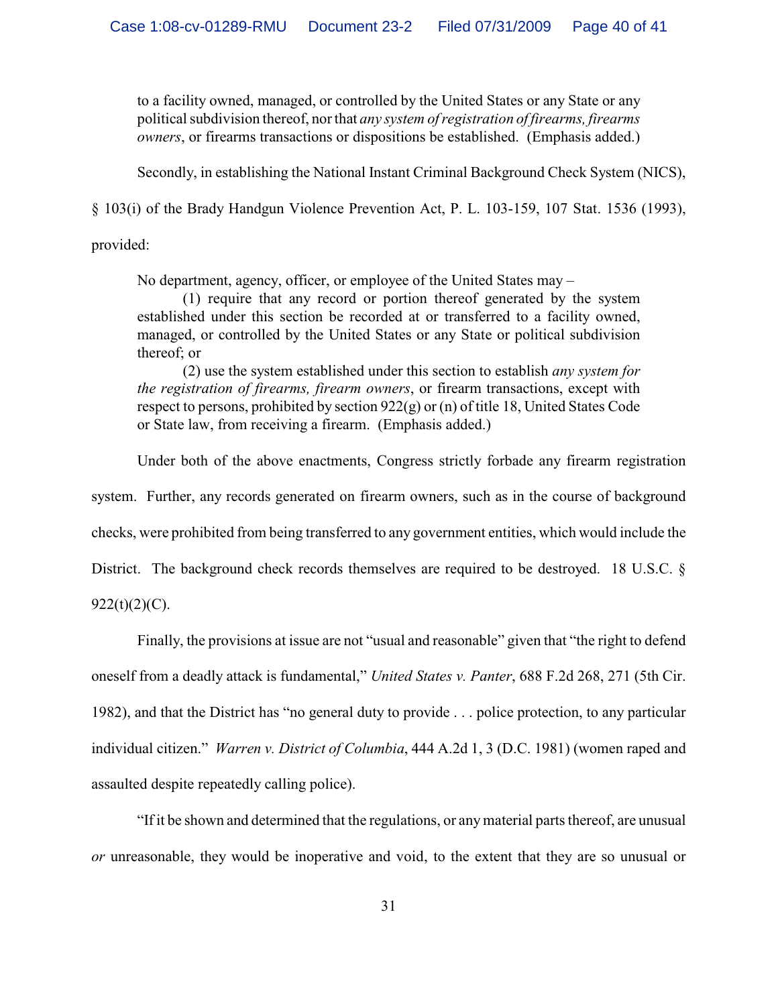to a facility owned, managed, or controlled by the United States or any State or any political subdivision thereof, nor that *any system of registration of firearms, firearms owners*, or firearms transactions or dispositions be established. (Emphasis added.)

Secondly, in establishing the National Instant Criminal Background Check System (NICS),

§ 103(i) of the Brady Handgun Violence Prevention Act, P. L. 103-159, 107 Stat. 1536 (1993),

provided:

No department, agency, officer, or employee of the United States may –

(1) require that any record or portion thereof generated by the system established under this section be recorded at or transferred to a facility owned, managed, or controlled by the United States or any State or political subdivision thereof; or

(2) use the system established under this section to establish *any system for the registration of firearms, firearm owners*, or firearm transactions, except with respect to persons, prohibited by section 922(g) or (n) of title 18, United States Code or State law, from receiving a firearm. (Emphasis added.)

Under both of the above enactments, Congress strictly forbade any firearm registration

system. Further, any records generated on firearm owners, such as in the course of background

checks, were prohibited from being transferred to any government entities, which would include the

District. The background check records themselves are required to be destroyed. 18 U.S.C. §

 $922(t)(2)(C)$ .

Finally, the provisions at issue are not "usual and reasonable" given that "the right to defend oneself from a deadly attack is fundamental," *United States v. Panter*, 688 F.2d 268, 271 (5th Cir. 1982), and that the District has "no general duty to provide . . . police protection, to any particular individual citizen." *Warren v. District of Columbia*, 444 A.2d 1, 3 (D.C. 1981) (women raped and assaulted despite repeatedly calling police).

"If it be shown and determined that the regulations, or anymaterial parts thereof, are unusual *or* unreasonable, they would be inoperative and void, to the extent that they are so unusual or